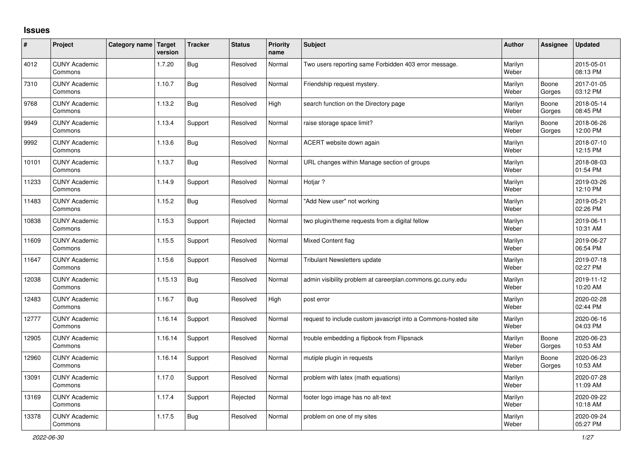## **Issues**

| #     | Project                         | Category name Target | version | <b>Tracker</b> | <b>Status</b> | <b>Priority</b><br>name | <b>Subject</b>                                                  | <b>Author</b>    | Assignee        | <b>Updated</b>         |
|-------|---------------------------------|----------------------|---------|----------------|---------------|-------------------------|-----------------------------------------------------------------|------------------|-----------------|------------------------|
| 4012  | <b>CUNY Academic</b><br>Commons |                      | 1.7.20  | Bug            | Resolved      | Normal                  | Two users reporting same Forbidden 403 error message.           | Marilyn<br>Weber |                 | 2015-05-01<br>08:13 PM |
| 7310  | <b>CUNY Academic</b><br>Commons |                      | 1.10.7  | Bug            | Resolved      | Normal                  | Friendship request mystery.                                     | Marilyn<br>Weber | Boone<br>Gorges | 2017-01-05<br>03:12 PM |
| 9768  | <b>CUNY Academic</b><br>Commons |                      | 1.13.2  | Bug            | Resolved      | High                    | search function on the Directory page                           | Marilyn<br>Weber | Boone<br>Gorges | 2018-05-14<br>08:45 PM |
| 9949  | <b>CUNY Academic</b><br>Commons |                      | 1.13.4  | Support        | Resolved      | Normal                  | raise storage space limit?                                      | Marilyn<br>Weber | Boone<br>Gorges | 2018-06-26<br>12:00 PM |
| 9992  | <b>CUNY Academic</b><br>Commons |                      | 1.13.6  | Bug            | Resolved      | Normal                  | ACERT website down again                                        | Marilyn<br>Weber |                 | 2018-07-10<br>12:15 PM |
| 10101 | <b>CUNY Academic</b><br>Commons |                      | 1.13.7  | Bug            | Resolved      | Normal                  | URL changes within Manage section of groups                     | Marilyn<br>Weber |                 | 2018-08-03<br>01:54 PM |
| 11233 | <b>CUNY Academic</b><br>Commons |                      | 1.14.9  | Support        | Resolved      | Normal                  | Hotjar ?                                                        | Marilyn<br>Weber |                 | 2019-03-26<br>12:10 PM |
| 11483 | <b>CUNY Academic</b><br>Commons |                      | 1.15.2  | Bug            | Resolved      | Normal                  | 'Add New user" not working                                      | Marilyn<br>Weber |                 | 2019-05-21<br>02:26 PM |
| 10838 | <b>CUNY Academic</b><br>Commons |                      | 1.15.3  | Support        | Rejected      | Normal                  | two plugin/theme requests from a digital fellow                 | Marilyn<br>Weber |                 | 2019-06-11<br>10:31 AM |
| 11609 | <b>CUNY Academic</b><br>Commons |                      | 1.15.5  | Support        | Resolved      | Normal                  | <b>Mixed Content flag</b>                                       | Marilyn<br>Weber |                 | 2019-06-27<br>06:54 PM |
| 11647 | <b>CUNY Academic</b><br>Commons |                      | 1.15.6  | Support        | Resolved      | Normal                  | <b>Tribulant Newsletters update</b>                             | Marilyn<br>Weber |                 | 2019-07-18<br>02:27 PM |
| 12038 | <b>CUNY Academic</b><br>Commons |                      | 1.15.13 | Bug            | Resolved      | Normal                  | admin visibility problem at careerplan.commons.gc.cuny.edu      | Marilyn<br>Weber |                 | 2019-11-12<br>10:20 AM |
| 12483 | <b>CUNY Academic</b><br>Commons |                      | 1.16.7  | Bug            | Resolved      | High                    | post error                                                      | Marilyn<br>Weber |                 | 2020-02-28<br>02:44 PM |
| 12777 | <b>CUNY Academic</b><br>Commons |                      | 1.16.14 | Support        | Resolved      | Normal                  | request to include custom javascript into a Commons-hosted site | Marilyn<br>Weber |                 | 2020-06-16<br>04:03 PM |
| 12905 | <b>CUNY Academic</b><br>Commons |                      | 1.16.14 | Support        | Resolved      | Normal                  | trouble embedding a flipbook from Flipsnack                     | Marilyn<br>Weber | Boone<br>Gorges | 2020-06-23<br>10:53 AM |
| 12960 | <b>CUNY Academic</b><br>Commons |                      | 1.16.14 | Support        | Resolved      | Normal                  | mutiple plugin in requests                                      | Marilyn<br>Weber | Boone<br>Gorges | 2020-06-23<br>10:53 AM |
| 13091 | <b>CUNY Academic</b><br>Commons |                      | 1.17.0  | Support        | Resolved      | Normal                  | problem with latex (math equations)                             | Marilyn<br>Weber |                 | 2020-07-28<br>11:09 AM |
| 13169 | <b>CUNY Academic</b><br>Commons |                      | 1.17.4  | Support        | Rejected      | Normal                  | footer logo image has no alt-text                               | Marilyn<br>Weber |                 | 2020-09-22<br>10:18 AM |
| 13378 | <b>CUNY Academic</b><br>Commons |                      | 1.17.5  | Bug            | Resolved      | Normal                  | problem on one of my sites                                      | Marilyn<br>Weber |                 | 2020-09-24<br>05:27 PM |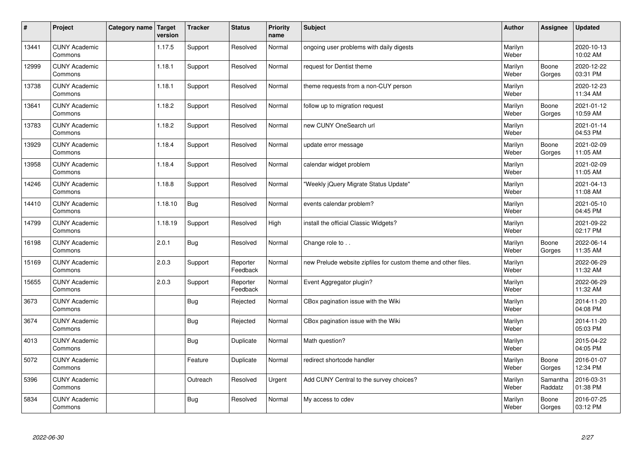| $\sharp$ | Project                         | Category name   Target | version | <b>Tracker</b> | <b>Status</b>        | <b>Priority</b><br>name | <b>Subject</b>                                                 | <b>Author</b>    | <b>Assignee</b>     | <b>Updated</b>         |
|----------|---------------------------------|------------------------|---------|----------------|----------------------|-------------------------|----------------------------------------------------------------|------------------|---------------------|------------------------|
| 13441    | <b>CUNY Academic</b><br>Commons |                        | 1.17.5  | Support        | Resolved             | Normal                  | ongoing user problems with daily digests                       | Marilyn<br>Weber |                     | 2020-10-13<br>10:02 AM |
| 12999    | <b>CUNY Academic</b><br>Commons |                        | 1.18.1  | Support        | Resolved             | Normal                  | request for Dentist theme                                      | Marilyn<br>Weber | Boone<br>Gorges     | 2020-12-22<br>03:31 PM |
| 13738    | <b>CUNY Academic</b><br>Commons |                        | 1.18.1  | Support        | Resolved             | Normal                  | theme requests from a non-CUY person                           | Marilyn<br>Weber |                     | 2020-12-23<br>11:34 AM |
| 13641    | <b>CUNY Academic</b><br>Commons |                        | 1.18.2  | Support        | Resolved             | Normal                  | follow up to migration request                                 | Marilyn<br>Weber | Boone<br>Gorges     | 2021-01-12<br>10:59 AM |
| 13783    | <b>CUNY Academic</b><br>Commons |                        | 1.18.2  | Support        | Resolved             | Normal                  | new CUNY OneSearch url                                         | Marilyn<br>Weber |                     | 2021-01-14<br>04:53 PM |
| 13929    | <b>CUNY Academic</b><br>Commons |                        | 1.18.4  | Support        | Resolved             | Normal                  | update error message                                           | Marilyn<br>Weber | Boone<br>Gorges     | 2021-02-09<br>11:05 AM |
| 13958    | <b>CUNY Academic</b><br>Commons |                        | 1.18.4  | Support        | Resolved             | Normal                  | calendar widget problem                                        | Marilyn<br>Weber |                     | 2021-02-09<br>11:05 AM |
| 14246    | <b>CUNY Academic</b><br>Commons |                        | 1.18.8  | Support        | Resolved             | Normal                  | 'Weekly jQuery Migrate Status Update"                          | Marilyn<br>Weber |                     | 2021-04-13<br>11:08 AM |
| 14410    | <b>CUNY Academic</b><br>Commons |                        | 1.18.10 | Bug            | Resolved             | Normal                  | events calendar problem?                                       | Marilyn<br>Weber |                     | 2021-05-10<br>04:45 PM |
| 14799    | <b>CUNY Academic</b><br>Commons |                        | 1.18.19 | Support        | Resolved             | High                    | install the official Classic Widgets?                          | Marilyn<br>Weber |                     | 2021-09-22<br>02:17 PM |
| 16198    | <b>CUNY Academic</b><br>Commons |                        | 2.0.1   | Bug            | Resolved             | Normal                  | Change role to                                                 | Marilyn<br>Weber | Boone<br>Gorges     | 2022-06-14<br>11:35 AM |
| 15169    | <b>CUNY Academic</b><br>Commons |                        | 2.0.3   | Support        | Reporter<br>Feedback | Normal                  | new Prelude website zipfiles for custom theme and other files. | Marilyn<br>Weber |                     | 2022-06-29<br>11:32 AM |
| 15655    | <b>CUNY Academic</b><br>Commons |                        | 2.0.3   | Support        | Reporter<br>Feedback | Normal                  | Event Aggregator plugin?                                       | Marilyn<br>Weber |                     | 2022-06-29<br>11:32 AM |
| 3673     | <b>CUNY Academic</b><br>Commons |                        |         | Bug            | Rejected             | Normal                  | CBox pagination issue with the Wiki                            | Marilyn<br>Weber |                     | 2014-11-20<br>04:08 PM |
| 3674     | <b>CUNY Academic</b><br>Commons |                        |         | Bug            | Rejected             | Normal                  | CBox pagination issue with the Wiki                            | Marilyn<br>Weber |                     | 2014-11-20<br>05:03 PM |
| 4013     | <b>CUNY Academic</b><br>Commons |                        |         | Bug            | Duplicate            | Normal                  | Math question?                                                 | Marilyn<br>Weber |                     | 2015-04-22<br>04:05 PM |
| 5072     | <b>CUNY Academic</b><br>Commons |                        |         | Feature        | Duplicate            | Normal                  | redirect shortcode handler                                     | Marilyn<br>Weber | Boone<br>Gorges     | 2016-01-07<br>12:34 PM |
| 5396     | <b>CUNY Academic</b><br>Commons |                        |         | Outreach       | Resolved             | Urgent                  | Add CUNY Central to the survey choices?                        | Marilyn<br>Weber | Samantha<br>Raddatz | 2016-03-31<br>01:38 PM |
| 5834     | <b>CUNY Academic</b><br>Commons |                        |         | <b>Bug</b>     | Resolved             | Normal                  | My access to cdev                                              | Marilyn<br>Weber | Boone<br>Gorges     | 2016-07-25<br>03:12 PM |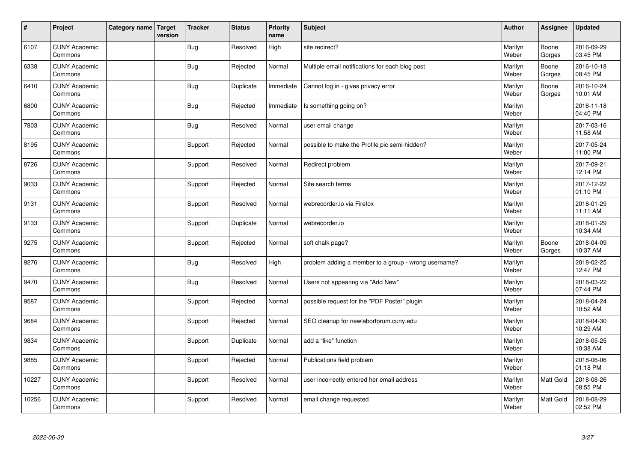| $\vert$ # | Project                         | Category name   Target | version | <b>Tracker</b> | <b>Status</b> | <b>Priority</b><br>name | <b>Subject</b>                                       | <b>Author</b>    | Assignee        | <b>Updated</b>         |
|-----------|---------------------------------|------------------------|---------|----------------|---------------|-------------------------|------------------------------------------------------|------------------|-----------------|------------------------|
| 6107      | <b>CUNY Academic</b><br>Commons |                        |         | Bug            | Resolved      | High                    | site redirect?                                       | Marilyn<br>Weber | Boone<br>Gorges | 2016-09-29<br>03:45 PM |
| 6338      | <b>CUNY Academic</b><br>Commons |                        |         | Bug            | Rejected      | Normal                  | Multiple email notifications for each blog post      | Marilyn<br>Weber | Boone<br>Gorges | 2016-10-18<br>08:45 PM |
| 6410      | <b>CUNY Academic</b><br>Commons |                        |         | Bug            | Duplicate     | Immediate               | Cannot log in - gives privacy error                  | Marilyn<br>Weber | Boone<br>Gorges | 2016-10-24<br>10:01 AM |
| 6800      | <b>CUNY Academic</b><br>Commons |                        |         | Bug            | Rejected      | Immediate               | Is something going on?                               | Marilyn<br>Weber |                 | 2016-11-18<br>04:40 PM |
| 7803      | <b>CUNY Academic</b><br>Commons |                        |         | Bug            | Resolved      | Normal                  | user email change                                    | Marilyn<br>Weber |                 | 2017-03-16<br>11:58 AM |
| 8195      | <b>CUNY Academic</b><br>Commons |                        |         | Support        | Rejected      | Normal                  | possible to make the Profile pic semi-hidden?        | Marilyn<br>Weber |                 | 2017-05-24<br>11:00 PM |
| 8726      | <b>CUNY Academic</b><br>Commons |                        |         | Support        | Resolved      | Normal                  | Redirect problem                                     | Marilyn<br>Weber |                 | 2017-09-21<br>12:14 PM |
| 9033      | <b>CUNY Academic</b><br>Commons |                        |         | Support        | Rejected      | Normal                  | Site search terms                                    | Marilyn<br>Weber |                 | 2017-12-22<br>01:10 PM |
| 9131      | <b>CUNY Academic</b><br>Commons |                        |         | Support        | Resolved      | Normal                  | webrecorder.io via Firefox                           | Marilyn<br>Weber |                 | 2018-01-29<br>11:11 AM |
| 9133      | <b>CUNY Academic</b><br>Commons |                        |         | Support        | Duplicate     | Normal                  | webrecorder.io                                       | Marilyn<br>Weber |                 | 2018-01-29<br>10:34 AM |
| 9275      | <b>CUNY Academic</b><br>Commons |                        |         | Support        | Rejected      | Normal                  | soft chalk page?                                     | Marilyn<br>Weber | Boone<br>Gorges | 2018-04-09<br>10:37 AM |
| 9276      | <b>CUNY Academic</b><br>Commons |                        |         | <b>Bug</b>     | Resolved      | High                    | problem adding a member to a group - wrong username? | Marilyn<br>Weber |                 | 2018-02-25<br>12:47 PM |
| 9470      | <b>CUNY Academic</b><br>Commons |                        |         | Bug            | Resolved      | Normal                  | Users not appearing via "Add New"                    | Marilyn<br>Weber |                 | 2018-03-22<br>07:44 PM |
| 9587      | <b>CUNY Academic</b><br>Commons |                        |         | Support        | Rejected      | Normal                  | possible request for the "PDF Poster" plugin         | Marilyn<br>Weber |                 | 2018-04-24<br>10:52 AM |
| 9684      | <b>CUNY Academic</b><br>Commons |                        |         | Support        | Rejected      | Normal                  | SEO cleanup for newlaborforum.cuny.edu               | Marilyn<br>Weber |                 | 2018-04-30<br>10:29 AM |
| 9834      | <b>CUNY Academic</b><br>Commons |                        |         | Support        | Duplicate     | Normal                  | add a "like" function                                | Marilyn<br>Weber |                 | 2018-05-25<br>10:38 AM |
| 9885      | <b>CUNY Academic</b><br>Commons |                        |         | Support        | Rejected      | Normal                  | Publications field problem                           | Marilyn<br>Weber |                 | 2018-06-06<br>01:18 PM |
| 10227     | <b>CUNY Academic</b><br>Commons |                        |         | Support        | Resolved      | Normal                  | user incorrectly entered her email address           | Marilyn<br>Weber | Matt Gold       | 2018-08-26<br>08:55 PM |
| 10256     | <b>CUNY Academic</b><br>Commons |                        |         | Support        | Resolved      | Normal                  | email change requested                               | Marilyn<br>Weber | Matt Gold       | 2018-08-29<br>02:52 PM |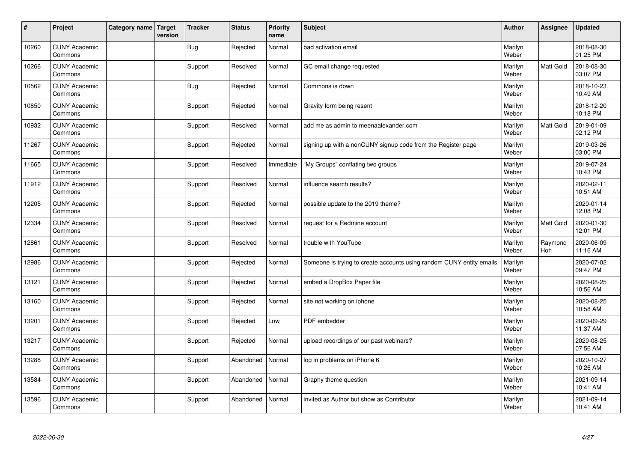| #     | Project                         | Category name   Target | version | <b>Tracker</b> | <b>Status</b> | <b>Priority</b><br>name | <b>Subject</b>                                                       | <b>Author</b>    | <b>Assignee</b>  | <b>Updated</b>         |
|-------|---------------------------------|------------------------|---------|----------------|---------------|-------------------------|----------------------------------------------------------------------|------------------|------------------|------------------------|
| 10260 | <b>CUNY Academic</b><br>Commons |                        |         | <b>Bug</b>     | Rejected      | Normal                  | bad activation email                                                 | Marilyn<br>Weber |                  | 2018-08-30<br>01:25 PM |
| 10266 | <b>CUNY Academic</b><br>Commons |                        |         | Support        | Resolved      | Normal                  | GC email change requested                                            | Marilyn<br>Weber | Matt Gold        | 2018-08-30<br>03:07 PM |
| 10562 | <b>CUNY Academic</b><br>Commons |                        |         | Bug            | Rejected      | Normal                  | Commons is down                                                      | Marilyn<br>Weber |                  | 2018-10-23<br>10:49 AM |
| 10850 | <b>CUNY Academic</b><br>Commons |                        |         | Support        | Rejected      | Normal                  | Gravity form being resent                                            | Marilyn<br>Weber |                  | 2018-12-20<br>10:18 PM |
| 10932 | <b>CUNY Academic</b><br>Commons |                        |         | Support        | Resolved      | Normal                  | add me as admin to meenaalexander.com                                | Marilyn<br>Weber | Matt Gold        | 2019-01-09<br>02:12 PM |
| 11267 | <b>CUNY Academic</b><br>Commons |                        |         | Support        | Rejected      | Normal                  | signing up with a nonCUNY signup code from the Register page         | Marilyn<br>Weber |                  | 2019-03-26<br>03:00 PM |
| 11665 | <b>CUNY Academic</b><br>Commons |                        |         | Support        | Resolved      | Immediate               | "My Groups" conflating two groups                                    | Marilyn<br>Weber |                  | 2019-07-24<br>10:43 PM |
| 11912 | <b>CUNY Academic</b><br>Commons |                        |         | Support        | Resolved      | Normal                  | influence search results?                                            | Marilyn<br>Weber |                  | 2020-02-11<br>10:51 AM |
| 12205 | <b>CUNY Academic</b><br>Commons |                        |         | Support        | Rejected      | Normal                  | possible update to the 2019 theme?                                   | Marilyn<br>Weber |                  | 2020-01-14<br>12:08 PM |
| 12334 | <b>CUNY Academic</b><br>Commons |                        |         | Support        | Resolved      | Normal                  | request for a Redmine account                                        | Marilyn<br>Weber | <b>Matt Gold</b> | 2020-01-30<br>12:01 PM |
| 12861 | <b>CUNY Academic</b><br>Commons |                        |         | Support        | Resolved      | Normal                  | trouble with YouTube                                                 | Marilyn<br>Weber | Raymond<br>Hoh   | 2020-06-09<br>11:16 AM |
| 12986 | <b>CUNY Academic</b><br>Commons |                        |         | Support        | Rejected      | Normal                  | Someone is trying to create accounts using random CUNY entity emails | Marilyn<br>Weber |                  | 2020-07-02<br>09:47 PM |
| 13121 | <b>CUNY Academic</b><br>Commons |                        |         | Support        | Rejected      | Normal                  | embed a DropBox Paper file                                           | Marilyn<br>Weber |                  | 2020-08-25<br>10:56 AM |
| 13160 | <b>CUNY Academic</b><br>Commons |                        |         | Support        | Rejected      | Normal                  | site not working on iphone                                           | Marilyn<br>Weber |                  | 2020-08-25<br>10:58 AM |
| 13201 | <b>CUNY Academic</b><br>Commons |                        |         | Support        | Rejected      | Low                     | PDF embedder                                                         | Marilyn<br>Weber |                  | 2020-09-29<br>11:37 AM |
| 13217 | <b>CUNY Academic</b><br>Commons |                        |         | Support        | Rejected      | Normal                  | upload recordings of our past webinars?                              | Marilyn<br>Weber |                  | 2020-08-25<br>07:56 AM |
| 13288 | <b>CUNY Academic</b><br>Commons |                        |         | Support        | Abandoned     | Normal                  | log in problems on iPhone 6                                          | Marilyn<br>Weber |                  | 2020-10-27<br>10:26 AM |
| 13584 | <b>CUNY Academic</b><br>Commons |                        |         | Support        | Abandoned     | Normal                  | Graphy theme question                                                | Marilyn<br>Weber |                  | 2021-09-14<br>10:41 AM |
| 13596 | <b>CUNY Academic</b><br>Commons |                        |         | Support        | Abandoned     | Normal                  | invited as Author but show as Contributor                            | Marilyn<br>Weber |                  | 2021-09-14<br>10:41 AM |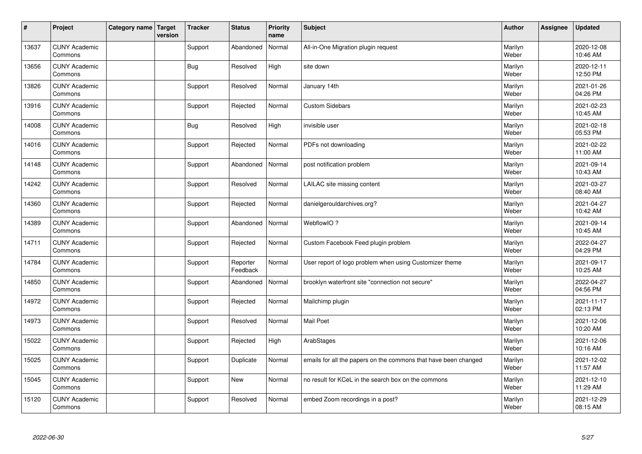| $\vert$ # | Project                         | Category name   Target | version | <b>Tracker</b> | <b>Status</b>        | <b>Priority</b><br>name | <b>Subject</b>                                                  | <b>Author</b>    | <b>Assignee</b> | <b>Updated</b>         |
|-----------|---------------------------------|------------------------|---------|----------------|----------------------|-------------------------|-----------------------------------------------------------------|------------------|-----------------|------------------------|
| 13637     | <b>CUNY Academic</b><br>Commons |                        |         | Support        | Abandoned            | Normal                  | All-in-One Migration plugin request                             | Marilyn<br>Weber |                 | 2020-12-08<br>10:46 AM |
| 13656     | <b>CUNY Academic</b><br>Commons |                        |         | Bug            | Resolved             | High                    | site down                                                       | Marilyn<br>Weber |                 | 2020-12-11<br>12:50 PM |
| 13826     | <b>CUNY Academic</b><br>Commons |                        |         | Support        | Resolved             | Normal                  | January 14th                                                    | Marilyn<br>Weber |                 | 2021-01-26<br>04:26 PM |
| 13916     | <b>CUNY Academic</b><br>Commons |                        |         | Support        | Rejected             | Normal                  | <b>Custom Sidebars</b>                                          | Marilyn<br>Weber |                 | 2021-02-23<br>10:45 AM |
| 14008     | <b>CUNY Academic</b><br>Commons |                        |         | Bug            | Resolved             | High                    | invisible user                                                  | Marilyn<br>Weber |                 | 2021-02-18<br>05:53 PM |
| 14016     | <b>CUNY Academic</b><br>Commons |                        |         | Support        | Rejected             | Normal                  | PDFs not downloading                                            | Marilyn<br>Weber |                 | 2021-02-22<br>11:00 AM |
| 14148     | <b>CUNY Academic</b><br>Commons |                        |         | Support        | Abandoned            | Normal                  | post notification problem                                       | Marilyn<br>Weber |                 | 2021-09-14<br>10:43 AM |
| 14242     | <b>CUNY Academic</b><br>Commons |                        |         | Support        | Resolved             | Normal                  | LAILAC site missing content                                     | Marilyn<br>Weber |                 | 2021-03-27<br>08:40 AM |
| 14360     | <b>CUNY Academic</b><br>Commons |                        |         | Support        | Rejected             | Normal                  | danielgerouldarchives.org?                                      | Marilyn<br>Weber |                 | 2021-04-27<br>10:42 AM |
| 14389     | <b>CUNY Academic</b><br>Commons |                        |         | Support        | Abandoned            | Normal                  | WebflowIO?                                                      | Marilyn<br>Weber |                 | 2021-09-14<br>10:45 AM |
| 14711     | <b>CUNY Academic</b><br>Commons |                        |         | Support        | Rejected             | Normal                  | Custom Facebook Feed plugin problem                             | Marilyn<br>Weber |                 | 2022-04-27<br>04:29 PM |
| 14784     | <b>CUNY Academic</b><br>Commons |                        |         | Support        | Reporter<br>Feedback | Normal                  | User report of logo problem when using Customizer theme         | Marilyn<br>Weber |                 | 2021-09-17<br>10:25 AM |
| 14850     | <b>CUNY Academic</b><br>Commons |                        |         | Support        | Abandoned            | Normal                  | brooklyn waterfront site "connection not secure"                | Marilyn<br>Weber |                 | 2022-04-27<br>04:56 PM |
| 14972     | <b>CUNY Academic</b><br>Commons |                        |         | Support        | Rejected             | Normal                  | Mailchimp plugin                                                | Marilyn<br>Weber |                 | 2021-11-17<br>02:13 PM |
| 14973     | <b>CUNY Academic</b><br>Commons |                        |         | Support        | Resolved             | Normal                  | Mail Poet                                                       | Marilyn<br>Weber |                 | 2021-12-06<br>10:20 AM |
| 15022     | <b>CUNY Academic</b><br>Commons |                        |         | Support        | Rejected             | High                    | ArabStages                                                      | Marilyn<br>Weber |                 | 2021-12-06<br>10:16 AM |
| 15025     | <b>CUNY Academic</b><br>Commons |                        |         | Support        | Duplicate            | Normal                  | emails for all the papers on the commons that have been changed | Marilyn<br>Weber |                 | 2021-12-02<br>11:57 AM |
| 15045     | <b>CUNY Academic</b><br>Commons |                        |         | Support        | New                  | Normal                  | no result for KCeL in the search box on the commons             | Marilyn<br>Weber |                 | 2021-12-10<br>11:29 AM |
| 15120     | <b>CUNY Academic</b><br>Commons |                        |         | Support        | Resolved             | Normal                  | embed Zoom recordings in a post?                                | Marilyn<br>Weber |                 | 2021-12-29<br>08:15 AM |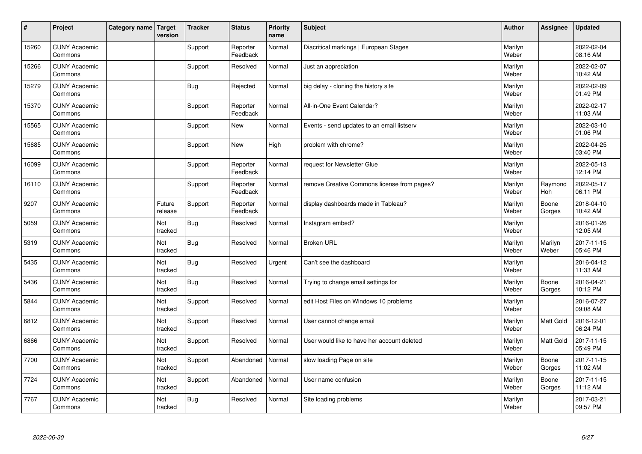| $\sharp$ | Project                         | Category name   Target | version           | <b>Tracker</b> | <b>Status</b>        | <b>Priority</b><br>name | <b>Subject</b>                              | <b>Author</b>    | <b>Assignee</b>  | <b>Updated</b>         |
|----------|---------------------------------|------------------------|-------------------|----------------|----------------------|-------------------------|---------------------------------------------|------------------|------------------|------------------------|
| 15260    | <b>CUNY Academic</b><br>Commons |                        |                   | Support        | Reporter<br>Feedback | Normal                  | Diacritical markings   European Stages      | Marilyn<br>Weber |                  | 2022-02-04<br>08:16 AM |
| 15266    | <b>CUNY Academic</b><br>Commons |                        |                   | Support        | Resolved             | Normal                  | Just an appreciation                        | Marilyn<br>Weber |                  | 2022-02-07<br>10:42 AM |
| 15279    | <b>CUNY Academic</b><br>Commons |                        |                   | <b>Bug</b>     | Rejected             | Normal                  | big delay - cloning the history site        | Marilyn<br>Weber |                  | 2022-02-09<br>01:49 PM |
| 15370    | <b>CUNY Academic</b><br>Commons |                        |                   | Support        | Reporter<br>Feedback | Normal                  | All-in-One Event Calendar?                  | Marilyn<br>Weber |                  | 2022-02-17<br>11:03 AM |
| 15565    | <b>CUNY Academic</b><br>Commons |                        |                   | Support        | New                  | Normal                  | Events - send updates to an email listserv  | Marilyn<br>Weber |                  | 2022-03-10<br>01:06 PM |
| 15685    | <b>CUNY Academic</b><br>Commons |                        |                   | Support        | <b>New</b>           | High                    | problem with chrome?                        | Marilyn<br>Weber |                  | 2022-04-25<br>03:40 PM |
| 16099    | <b>CUNY Academic</b><br>Commons |                        |                   | Support        | Reporter<br>Feedback | Normal                  | request for Newsletter Glue                 | Marilyn<br>Weber |                  | 2022-05-13<br>12:14 PM |
| 16110    | <b>CUNY Academic</b><br>Commons |                        |                   | Support        | Reporter<br>Feedback | Normal                  | remove Creative Commons license from pages? | Marilyn<br>Weber | Raymond<br>Hoh   | 2022-05-17<br>06:11 PM |
| 9207     | <b>CUNY Academic</b><br>Commons |                        | Future<br>release | Support        | Reporter<br>Feedback | Normal                  | display dashboards made in Tableau?         | Marilyn<br>Weber | Boone<br>Gorges  | 2018-04-10<br>10:42 AM |
| 5059     | <b>CUNY Academic</b><br>Commons |                        | Not<br>tracked    | Bug            | Resolved             | Normal                  | Instagram embed?                            | Marilyn<br>Weber |                  | 2016-01-26<br>12:05 AM |
| 5319     | <b>CUNY Academic</b><br>Commons |                        | Not<br>tracked    | Bug            | Resolved             | Normal                  | <b>Broken URL</b>                           | Marilyn<br>Weber | Marilyn<br>Weber | 2017-11-15<br>05:46 PM |
| 5435     | <b>CUNY Academic</b><br>Commons |                        | Not<br>tracked    | Bug            | Resolved             | Urgent                  | Can't see the dashboard                     | Marilyn<br>Weber |                  | 2016-04-12<br>11:33 AM |
| 5436     | <b>CUNY Academic</b><br>Commons |                        | Not<br>tracked    | Bug            | Resolved             | Normal                  | Trying to change email settings for         | Marilyn<br>Weber | Boone<br>Gorges  | 2016-04-21<br>10:12 PM |
| 5844     | <b>CUNY Academic</b><br>Commons |                        | Not<br>tracked    | Support        | Resolved             | Normal                  | edit Host Files on Windows 10 problems      | Marilyn<br>Weber |                  | 2016-07-27<br>09:08 AM |
| 6812     | <b>CUNY Academic</b><br>Commons |                        | Not<br>tracked    | Support        | Resolved             | Normal                  | User cannot change email                    | Marilyn<br>Weber | Matt Gold        | 2016-12-01<br>06:24 PM |
| 6866     | <b>CUNY Academic</b><br>Commons |                        | Not<br>tracked    | Support        | Resolved             | Normal                  | User would like to have her account deleted | Marilyn<br>Weber | <b>Matt Gold</b> | 2017-11-15<br>05:49 PM |
| 7700     | <b>CUNY Academic</b><br>Commons |                        | Not<br>tracked    | Support        | Abandoned            | Normal                  | slow loading Page on site                   | Marilyn<br>Weber | Boone<br>Gorges  | 2017-11-15<br>11:02 AM |
| 7724     | <b>CUNY Academic</b><br>Commons |                        | Not<br>tracked    | Support        | Abandoned            | Normal                  | User name confusion                         | Marilyn<br>Weber | Boone<br>Gorges  | 2017-11-15<br>11:12 AM |
| 7767     | <b>CUNY Academic</b><br>Commons |                        | Not<br>tracked    | Bug            | Resolved             | Normal                  | Site loading problems                       | Marilyn<br>Weber |                  | 2017-03-21<br>09:57 PM |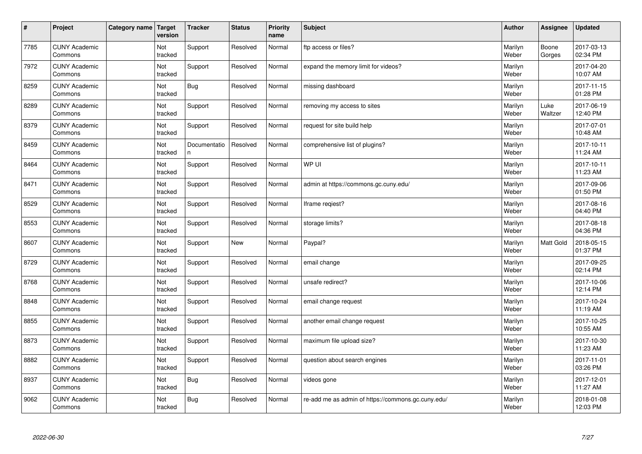| $\vert$ # | Project                         | Category name   Target | version        | <b>Tracker</b>    | <b>Status</b> | <b>Priority</b><br>name | <b>Subject</b>                                     | <b>Author</b>    | Assignee        | <b>Updated</b>         |
|-----------|---------------------------------|------------------------|----------------|-------------------|---------------|-------------------------|----------------------------------------------------|------------------|-----------------|------------------------|
| 7785      | <b>CUNY Academic</b><br>Commons |                        | Not<br>tracked | Support           | Resolved      | Normal                  | ftp access or files?                               | Marilyn<br>Weber | Boone<br>Gorges | 2017-03-13<br>02:34 PM |
| 7972      | <b>CUNY Academic</b><br>Commons |                        | Not<br>tracked | Support           | Resolved      | Normal                  | expand the memory limit for videos?                | Marilyn<br>Weber |                 | 2017-04-20<br>10:07 AM |
| 8259      | <b>CUNY Academic</b><br>Commons |                        | Not<br>tracked | <b>Bug</b>        | Resolved      | Normal                  | missing dashboard                                  | Marilyn<br>Weber |                 | 2017-11-15<br>01:28 PM |
| 8289      | <b>CUNY Academic</b><br>Commons |                        | Not<br>tracked | Support           | Resolved      | Normal                  | removing my access to sites                        | Marilyn<br>Weber | Luke<br>Waltzer | 2017-06-19<br>12:40 PM |
| 8379      | <b>CUNY Academic</b><br>Commons |                        | Not<br>tracked | Support           | Resolved      | Normal                  | request for site build help                        | Marilyn<br>Weber |                 | 2017-07-01<br>10:48 AM |
| 8459      | <b>CUNY Academic</b><br>Commons |                        | Not<br>tracked | Documentatio<br>n | Resolved      | Normal                  | comprehensive list of plugins?                     | Marilyn<br>Weber |                 | 2017-10-11<br>11:24 AM |
| 8464      | <b>CUNY Academic</b><br>Commons |                        | Not<br>tracked | Support           | Resolved      | Normal                  | WP UI                                              | Marilyn<br>Weber |                 | 2017-10-11<br>11:23 AM |
| 8471      | <b>CUNY Academic</b><br>Commons |                        | Not<br>tracked | Support           | Resolved      | Normal                  | admin at https://commons.gc.cuny.edu/              | Marilyn<br>Weber |                 | 2017-09-06<br>01:50 PM |
| 8529      | <b>CUNY Academic</b><br>Commons |                        | Not<br>tracked | Support           | Resolved      | Normal                  | Iframe regiest?                                    | Marilyn<br>Weber |                 | 2017-08-16<br>04:40 PM |
| 8553      | <b>CUNY Academic</b><br>Commons |                        | Not<br>tracked | Support           | Resolved      | Normal                  | storage limits?                                    | Marilyn<br>Weber |                 | 2017-08-18<br>04:36 PM |
| 8607      | <b>CUNY Academic</b><br>Commons |                        | Not<br>tracked | Support           | <b>New</b>    | Normal                  | Paypal?                                            | Marilyn<br>Weber | Matt Gold       | 2018-05-15<br>01:37 PM |
| 8729      | <b>CUNY Academic</b><br>Commons |                        | Not<br>tracked | Support           | Resolved      | Normal                  | email change                                       | Marilyn<br>Weber |                 | 2017-09-25<br>02:14 PM |
| 8768      | <b>CUNY Academic</b><br>Commons |                        | Not<br>tracked | Support           | Resolved      | Normal                  | unsafe redirect?                                   | Marilyn<br>Weber |                 | 2017-10-06<br>12:14 PM |
| 8848      | <b>CUNY Academic</b><br>Commons |                        | Not<br>tracked | Support           | Resolved      | Normal                  | email change request                               | Marilyn<br>Weber |                 | 2017-10-24<br>11:19 AM |
| 8855      | <b>CUNY Academic</b><br>Commons |                        | Not<br>tracked | Support           | Resolved      | Normal                  | another email change request                       | Marilyn<br>Weber |                 | 2017-10-25<br>10:55 AM |
| 8873      | <b>CUNY Academic</b><br>Commons |                        | Not<br>tracked | Support           | Resolved      | Normal                  | maximum file upload size?                          | Marilyn<br>Weber |                 | 2017-10-30<br>11:23 AM |
| 8882      | <b>CUNY Academic</b><br>Commons |                        | Not<br>tracked | Support           | Resolved      | Normal                  | question about search engines                      | Marilyn<br>Weber |                 | 2017-11-01<br>03:26 PM |
| 8937      | <b>CUNY Academic</b><br>Commons |                        | Not<br>tracked | <b>Bug</b>        | Resolved      | Normal                  | videos gone                                        | Marilyn<br>Weber |                 | 2017-12-01<br>11:27 AM |
| 9062      | <b>CUNY Academic</b><br>Commons |                        | Not<br>tracked | Bug               | Resolved      | Normal                  | re-add me as admin of https://commons.gc.cuny.edu/ | Marilyn<br>Weber |                 | 2018-01-08<br>12:03 PM |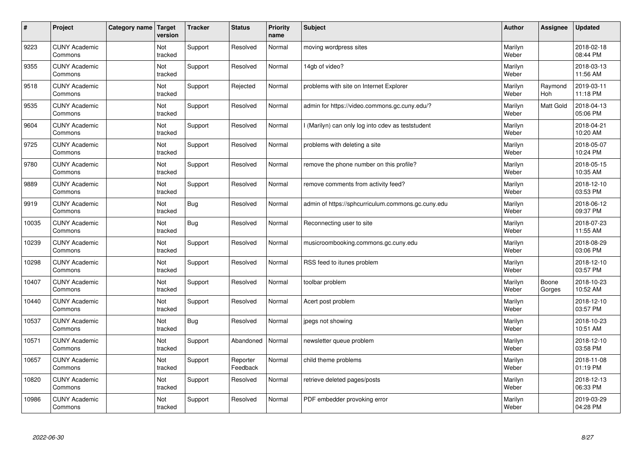| $\vert$ # | Project                         | Category name | Target<br>version | <b>Tracker</b> | <b>Status</b>        | <b>Priority</b><br>name | <b>Subject</b>                                     | <b>Author</b>    | <b>Assignee</b>       | <b>Updated</b>         |
|-----------|---------------------------------|---------------|-------------------|----------------|----------------------|-------------------------|----------------------------------------------------|------------------|-----------------------|------------------------|
| 9223      | <b>CUNY Academic</b><br>Commons |               | Not<br>tracked    | Support        | Resolved             | Normal                  | moving wordpress sites                             | Marilyn<br>Weber |                       | 2018-02-18<br>08:44 PM |
| 9355      | <b>CUNY Academic</b><br>Commons |               | Not<br>tracked    | Support        | Resolved             | Normal                  | 14gb of video?                                     | Marilyn<br>Weber |                       | 2018-03-13<br>11:56 AM |
| 9518      | <b>CUNY Academic</b><br>Commons |               | Not<br>tracked    | Support        | Rejected             | Normal                  | problems with site on Internet Explorer            | Marilyn<br>Weber | Raymond<br><b>Hoh</b> | 2019-03-11<br>11:18 PM |
| 9535      | <b>CUNY Academic</b><br>Commons |               | Not<br>tracked    | Support        | Resolved             | Normal                  | admin for https://video.commons.gc.cuny.edu/?      | Marilyn<br>Weber | Matt Gold             | 2018-04-13<br>05:06 PM |
| 9604      | <b>CUNY Academic</b><br>Commons |               | Not<br>tracked    | Support        | Resolved             | Normal                  | I (Marilyn) can only log into cdev as teststudent  | Marilyn<br>Weber |                       | 2018-04-21<br>10:20 AM |
| 9725      | <b>CUNY Academic</b><br>Commons |               | Not<br>tracked    | Support        | Resolved             | Normal                  | problems with deleting a site                      | Marilyn<br>Weber |                       | 2018-05-07<br>10:24 PM |
| 9780      | <b>CUNY Academic</b><br>Commons |               | Not<br>tracked    | Support        | Resolved             | Normal                  | remove the phone number on this profile?           | Marilyn<br>Weber |                       | 2018-05-15<br>10:35 AM |
| 9889      | <b>CUNY Academic</b><br>Commons |               | Not<br>tracked    | Support        | Resolved             | Normal                  | remove comments from activity feed?                | Marilyn<br>Weber |                       | 2018-12-10<br>03:53 PM |
| 9919      | <b>CUNY Academic</b><br>Commons |               | Not<br>tracked    | Bug            | Resolved             | Normal                  | admin of https://sphcurriculum.commons.gc.cuny.edu | Marilyn<br>Weber |                       | 2018-06-12<br>09:37 PM |
| 10035     | <b>CUNY Academic</b><br>Commons |               | Not<br>tracked    | <b>Bug</b>     | Resolved             | Normal                  | Reconnecting user to site                          | Marilyn<br>Weber |                       | 2018-07-23<br>11:55 AM |
| 10239     | <b>CUNY Academic</b><br>Commons |               | Not<br>tracked    | Support        | Resolved             | Normal                  | musicroombooking.commons.gc.cuny.edu               | Marilyn<br>Weber |                       | 2018-08-29<br>03:06 PM |
| 10298     | <b>CUNY Academic</b><br>Commons |               | Not<br>tracked    | Support        | Resolved             | Normal                  | RSS feed to itunes problem                         | Marilyn<br>Weber |                       | 2018-12-10<br>03:57 PM |
| 10407     | <b>CUNY Academic</b><br>Commons |               | Not<br>tracked    | Support        | Resolved             | Normal                  | toolbar problem                                    | Marilyn<br>Weber | Boone<br>Gorges       | 2018-10-23<br>10:52 AM |
| 10440     | <b>CUNY Academic</b><br>Commons |               | Not<br>tracked    | Support        | Resolved             | Normal                  | Acert post problem                                 | Marilyn<br>Weber |                       | 2018-12-10<br>03:57 PM |
| 10537     | <b>CUNY Academic</b><br>Commons |               | Not<br>tracked    | <b>Bug</b>     | Resolved             | Normal                  | jpegs not showing                                  | Marilyn<br>Weber |                       | 2018-10-23<br>10:51 AM |
| 10571     | <b>CUNY Academic</b><br>Commons |               | Not<br>tracked    | Support        | Abandoned            | Normal                  | newsletter queue problem                           | Marilyn<br>Weber |                       | 2018-12-10<br>03:58 PM |
| 10657     | <b>CUNY Academic</b><br>Commons |               | Not<br>tracked    | Support        | Reporter<br>Feedback | Normal                  | child theme problems                               | Marilyn<br>Weber |                       | 2018-11-08<br>01:19 PM |
| 10820     | <b>CUNY Academic</b><br>Commons |               | Not<br>tracked    | Support        | Resolved             | Normal                  | retrieve deleted pages/posts                       | Marilyn<br>Weber |                       | 2018-12-13<br>06:33 PM |
| 10986     | <b>CUNY Academic</b><br>Commons |               | Not<br>tracked    | Support        | Resolved             | Normal                  | PDF embedder provoking error                       | Marilyn<br>Weber |                       | 2019-03-29<br>04:28 PM |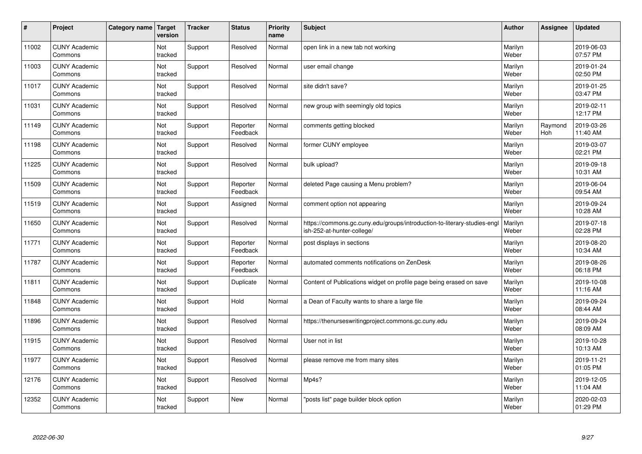| $\sharp$ | Project                         | Category name | Target<br>version | <b>Tracker</b> | <b>Status</b>        | <b>Priority</b><br>name | <b>Subject</b>                                                                                         | <b>Author</b>    | Assignee       | <b>Updated</b>         |
|----------|---------------------------------|---------------|-------------------|----------------|----------------------|-------------------------|--------------------------------------------------------------------------------------------------------|------------------|----------------|------------------------|
| 11002    | <b>CUNY Academic</b><br>Commons |               | Not<br>tracked    | Support        | Resolved             | Normal                  | open link in a new tab not working                                                                     | Marilyn<br>Weber |                | 2019-06-03<br>07:57 PM |
| 11003    | <b>CUNY Academic</b><br>Commons |               | Not<br>tracked    | Support        | Resolved             | Normal                  | user email change                                                                                      | Marilyn<br>Weber |                | 2019-01-24<br>02:50 PM |
| 11017    | <b>CUNY Academic</b><br>Commons |               | Not<br>tracked    | Support        | Resolved             | Normal                  | site didn't save?                                                                                      | Marilyn<br>Weber |                | 2019-01-25<br>03:47 PM |
| 11031    | <b>CUNY Academic</b><br>Commons |               | Not<br>tracked    | Support        | Resolved             | Normal                  | new group with seemingly old topics                                                                    | Marilyn<br>Weber |                | 2019-02-11<br>12:17 PM |
| 11149    | <b>CUNY Academic</b><br>Commons |               | Not<br>tracked    | Support        | Reporter<br>Feedback | Normal                  | comments getting blocked                                                                               | Marilyn<br>Weber | Raymond<br>Hoh | 2019-03-26<br>11:40 AM |
| 11198    | <b>CUNY Academic</b><br>Commons |               | Not<br>tracked    | Support        | Resolved             | Normal                  | former CUNY employee                                                                                   | Marilyn<br>Weber |                | 2019-03-07<br>02:21 PM |
| 11225    | <b>CUNY Academic</b><br>Commons |               | Not<br>tracked    | Support        | Resolved             | Normal                  | bulk upload?                                                                                           | Marilyn<br>Weber |                | 2019-09-18<br>10:31 AM |
| 11509    | <b>CUNY Academic</b><br>Commons |               | Not<br>tracked    | Support        | Reporter<br>Feedback | Normal                  | deleted Page causing a Menu problem?                                                                   | Marilyn<br>Weber |                | 2019-06-04<br>09:54 AM |
| 11519    | <b>CUNY Academic</b><br>Commons |               | Not<br>tracked    | Support        | Assigned             | Normal                  | comment option not appearing                                                                           | Marilyn<br>Weber |                | 2019-09-24<br>10:28 AM |
| 11650    | <b>CUNY Academic</b><br>Commons |               | Not<br>tracked    | Support        | Resolved             | Normal                  | https://commons.gc.cuny.edu/groups/introduction-to-literary-studies-engl<br>ish-252-at-hunter-college/ | Marilyn<br>Weber |                | 2019-07-18<br>02:28 PM |
| 11771    | <b>CUNY Academic</b><br>Commons |               | Not<br>tracked    | Support        | Reporter<br>Feedback | Normal                  | post displays in sections                                                                              | Marilyn<br>Weber |                | 2019-08-20<br>10:34 AM |
| 11787    | <b>CUNY Academic</b><br>Commons |               | Not<br>tracked    | Support        | Reporter<br>Feedback | Normal                  | automated comments notifications on ZenDesk                                                            | Marilyn<br>Weber |                | 2019-08-26<br>06:18 PM |
| 11811    | <b>CUNY Academic</b><br>Commons |               | Not<br>tracked    | Support        | Duplicate            | Normal                  | Content of Publications widget on profile page being erased on save                                    | Marilyn<br>Weber |                | 2019-10-08<br>11:16 AM |
| 11848    | <b>CUNY Academic</b><br>Commons |               | Not<br>tracked    | Support        | Hold                 | Normal                  | a Dean of Faculty wants to share a large file                                                          | Marilyn<br>Weber |                | 2019-09-24<br>08:44 AM |
| 11896    | <b>CUNY Academic</b><br>Commons |               | Not<br>tracked    | Support        | Resolved             | Normal                  | https://thenurseswritingproject.commons.gc.cuny.edu                                                    | Marilyn<br>Weber |                | 2019-09-24<br>08:09 AM |
| 11915    | <b>CUNY Academic</b><br>Commons |               | Not<br>tracked    | Support        | Resolved             | Normal                  | User not in list                                                                                       | Marilyn<br>Weber |                | 2019-10-28<br>10:13 AM |
| 11977    | <b>CUNY Academic</b><br>Commons |               | Not<br>tracked    | Support        | Resolved             | Normal                  | please remove me from many sites                                                                       | Marilyn<br>Weber |                | 2019-11-21<br>01:05 PM |
| 12176    | <b>CUNY Academic</b><br>Commons |               | Not<br>tracked    | Support        | Resolved             | Normal                  | Mp4s?                                                                                                  | Marilyn<br>Weber |                | 2019-12-05<br>11:04 AM |
| 12352    | <b>CUNY Academic</b><br>Commons |               | Not<br>tracked    | Support        | <b>New</b>           | Normal                  | "posts list" page builder block option                                                                 | Marilyn<br>Weber |                | 2020-02-03<br>01:29 PM |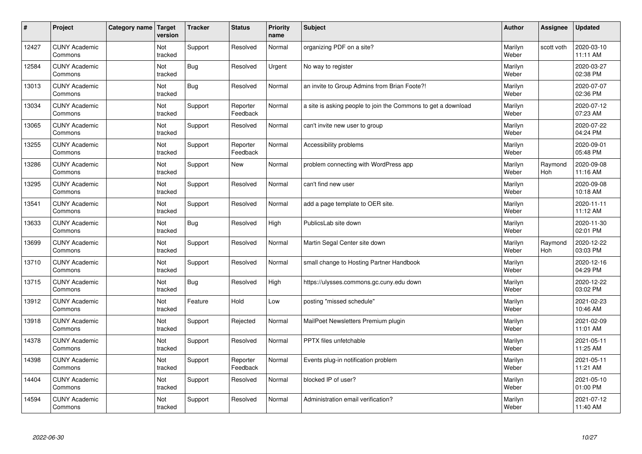| $\vert$ # | Project                         | Category name   Target | version               | <b>Tracker</b> | <b>Status</b>        | <b>Priority</b><br>name | <b>Subject</b>                                                | <b>Author</b>    | Assignee       | <b>Updated</b>         |
|-----------|---------------------------------|------------------------|-----------------------|----------------|----------------------|-------------------------|---------------------------------------------------------------|------------------|----------------|------------------------|
| 12427     | <b>CUNY Academic</b><br>Commons |                        | Not<br>tracked        | Support        | Resolved             | Normal                  | organizing PDF on a site?                                     | Marilyn<br>Weber | scott voth     | 2020-03-10<br>11:11 AM |
| 12584     | <b>CUNY Academic</b><br>Commons |                        | Not<br>tracked        | <b>Bug</b>     | Resolved             | Urgent                  | No way to register                                            | Marilyn<br>Weber |                | 2020-03-27<br>02:38 PM |
| 13013     | <b>CUNY Academic</b><br>Commons |                        | Not<br>tracked        | <b>Bug</b>     | Resolved             | Normal                  | an invite to Group Admins from Brian Foote?!                  | Marilyn<br>Weber |                | 2020-07-07<br>02:36 PM |
| 13034     | <b>CUNY Academic</b><br>Commons |                        | Not<br>tracked        | Support        | Reporter<br>Feedback | Normal                  | a site is asking people to join the Commons to get a download | Marilyn<br>Weber |                | 2020-07-12<br>07:23 AM |
| 13065     | <b>CUNY Academic</b><br>Commons |                        | <b>Not</b><br>tracked | Support        | Resolved             | Normal                  | can't invite new user to group                                | Marilyn<br>Weber |                | 2020-07-22<br>04:24 PM |
| 13255     | <b>CUNY Academic</b><br>Commons |                        | Not<br>tracked        | Support        | Reporter<br>Feedback | Normal                  | Accessibility problems                                        | Marilyn<br>Weber |                | 2020-09-01<br>05:48 PM |
| 13286     | <b>CUNY Academic</b><br>Commons |                        | Not<br>tracked        | Support        | <b>New</b>           | Normal                  | problem connecting with WordPress app                         | Marilyn<br>Weber | Raymond<br>Hoh | 2020-09-08<br>11:16 AM |
| 13295     | <b>CUNY Academic</b><br>Commons |                        | Not<br>tracked        | Support        | Resolved             | Normal                  | can't find new user                                           | Marilyn<br>Weber |                | 2020-09-08<br>10:18 AM |
| 13541     | <b>CUNY Academic</b><br>Commons |                        | Not<br>tracked        | Support        | Resolved             | Normal                  | add a page template to OER site.                              | Marilyn<br>Weber |                | 2020-11-11<br>11:12 AM |
| 13633     | <b>CUNY Academic</b><br>Commons |                        | Not<br>tracked        | <b>Bug</b>     | Resolved             | High                    | PublicsLab site down                                          | Marilyn<br>Weber |                | 2020-11-30<br>02:01 PM |
| 13699     | <b>CUNY Academic</b><br>Commons |                        | Not<br>tracked        | Support        | Resolved             | Normal                  | Martin Segal Center site down                                 | Marilyn<br>Weber | Raymond<br>Hoh | 2020-12-22<br>03:03 PM |
| 13710     | <b>CUNY Academic</b><br>Commons |                        | Not<br>tracked        | Support        | Resolved             | Normal                  | small change to Hosting Partner Handbook                      | Marilyn<br>Weber |                | 2020-12-16<br>04:29 PM |
| 13715     | <b>CUNY Academic</b><br>Commons |                        | Not<br>tracked        | <b>Bug</b>     | Resolved             | High                    | https://ulysses.commons.gc.cuny.edu down                      | Marilyn<br>Weber |                | 2020-12-22<br>03:02 PM |
| 13912     | <b>CUNY Academic</b><br>Commons |                        | Not<br>tracked        | Feature        | Hold                 | Low                     | posting "missed schedule"                                     | Marilyn<br>Weber |                | 2021-02-23<br>10:46 AM |
| 13918     | <b>CUNY Academic</b><br>Commons |                        | Not<br>tracked        | Support        | Rejected             | Normal                  | MailPoet Newsletters Premium plugin                           | Marilyn<br>Weber |                | 2021-02-09<br>11:01 AM |
| 14378     | <b>CUNY Academic</b><br>Commons |                        | Not<br>tracked        | Support        | Resolved             | Normal                  | PPTX files unfetchable                                        | Marilyn<br>Weber |                | 2021-05-11<br>11:25 AM |
| 14398     | <b>CUNY Academic</b><br>Commons |                        | Not<br>tracked        | Support        | Reporter<br>Feedback | Normal                  | Events plug-in notification problem                           | Marilyn<br>Weber |                | 2021-05-11<br>11:21 AM |
| 14404     | <b>CUNY Academic</b><br>Commons |                        | Not<br>tracked        | Support        | Resolved             | Normal                  | blocked IP of user?                                           | Marilyn<br>Weber |                | 2021-05-10<br>01:00 PM |
| 14594     | <b>CUNY Academic</b><br>Commons |                        | Not<br>tracked        | Support        | Resolved             | Normal                  | Administration email verification?                            | Marilyn<br>Weber |                | 2021-07-12<br>11:40 AM |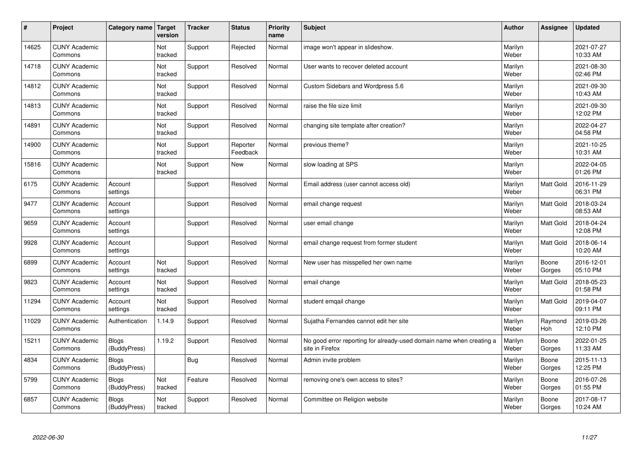| $\sharp$ | Project                         | Category name   Target       | version        | <b>Tracker</b> | <b>Status</b>        | <b>Priority</b><br>name | <b>Subject</b>                                                                          | <b>Author</b>    | Assignee         | <b>Updated</b>         |
|----------|---------------------------------|------------------------------|----------------|----------------|----------------------|-------------------------|-----------------------------------------------------------------------------------------|------------------|------------------|------------------------|
| 14625    | <b>CUNY Academic</b><br>Commons |                              | Not<br>tracked | Support        | Rejected             | Normal                  | image won't appear in slideshow.                                                        | Marilyn<br>Weber |                  | 2021-07-27<br>10:33 AM |
| 14718    | <b>CUNY Academic</b><br>Commons |                              | Not<br>tracked | Support        | Resolved             | Normal                  | User wants to recover deleted account                                                   | Marilyn<br>Weber |                  | 2021-08-30<br>02:46 PM |
| 14812    | <b>CUNY Academic</b><br>Commons |                              | Not<br>tracked | Support        | Resolved             | Normal                  | Custom Sidebars and Wordpress 5.6                                                       | Marilyn<br>Weber |                  | 2021-09-30<br>10:43 AM |
| 14813    | <b>CUNY Academic</b><br>Commons |                              | Not<br>tracked | Support        | Resolved             | Normal                  | raise the file size limit                                                               | Marilyn<br>Weber |                  | 2021-09-30<br>12:02 PM |
| 14891    | <b>CUNY Academic</b><br>Commons |                              | Not<br>tracked | Support        | Resolved             | Normal                  | changing site template after creation?                                                  | Marilyn<br>Weber |                  | 2022-04-27<br>04:58 PM |
| 14900    | <b>CUNY Academic</b><br>Commons |                              | Not<br>tracked | Support        | Reporter<br>Feedback | Normal                  | previous theme?                                                                         | Marilyn<br>Weber |                  | 2021-10-25<br>10:31 AM |
| 15816    | <b>CUNY Academic</b><br>Commons |                              | Not<br>tracked | Support        | <b>New</b>           | Normal                  | slow loading at SPS                                                                     | Marilyn<br>Weber |                  | 2022-04-05<br>01:26 PM |
| 6175     | <b>CUNY Academic</b><br>Commons | Account<br>settings          |                | Support        | Resolved             | Normal                  | Email address (user cannot access old)                                                  | Marilyn<br>Weber | Matt Gold        | 2016-11-29<br>06:31 PM |
| 9477     | <b>CUNY Academic</b><br>Commons | Account<br>settings          |                | Support        | Resolved             | Normal                  | email change request                                                                    | Marilyn<br>Weber | <b>Matt Gold</b> | 2018-03-24<br>08:53 AM |
| 9659     | <b>CUNY Academic</b><br>Commons | Account<br>settings          |                | Support        | Resolved             | Normal                  | user email change                                                                       | Marilyn<br>Weber | <b>Matt Gold</b> | 2018-04-24<br>12:08 PM |
| 9928     | <b>CUNY Academic</b><br>Commons | Account<br>settings          |                | Support        | Resolved             | Normal                  | email change request from former student                                                | Marilyn<br>Weber | Matt Gold        | 2018-06-14<br>10:20 AM |
| 6899     | <b>CUNY Academic</b><br>Commons | Account<br>settings          | Not<br>tracked | Support        | Resolved             | Normal                  | New user has misspelled her own name                                                    | Marilyn<br>Weber | Boone<br>Gorges  | 2016-12-01<br>05:10 PM |
| 9823     | <b>CUNY Academic</b><br>Commons | Account<br>settings          | Not<br>tracked | Support        | Resolved             | Normal                  | email change                                                                            | Marilyn<br>Weber | <b>Matt Gold</b> | 2018-05-23<br>01:58 PM |
| 11294    | <b>CUNY Academic</b><br>Commons | Account<br>settings          | Not<br>tracked | Support        | Resolved             | Normal                  | student emgail change                                                                   | Marilyn<br>Weber | Matt Gold        | 2019-04-07<br>09:11 PM |
| 11029    | <b>CUNY Academic</b><br>Commons | Authentication               | 1.14.9         | Support        | Resolved             | Normal                  | Sujatha Fernandes cannot edit her site                                                  | Marilyn<br>Weber | Raymond<br>Hoh   | 2019-03-26<br>12:10 PM |
| 15211    | <b>CUNY Academic</b><br>Commons | <b>Blogs</b><br>(BuddyPress) | 1.19.2         | Support        | Resolved             | Normal                  | No good error reporting for already-used domain name when creating a<br>site in Firefox | Marilyn<br>Weber | Boone<br>Gorges  | 2022-01-25<br>11:33 AM |
| 4834     | <b>CUNY Academic</b><br>Commons | Blogs<br>(BuddyPress)        |                | Bug            | Resolved             | Normal                  | Admin invite problem                                                                    | Marilyn<br>Weber | Boone<br>Gorges  | 2015-11-13<br>12:25 PM |
| 5799     | <b>CUNY Academic</b><br>Commons | <b>Blogs</b><br>(BuddyPress) | Not<br>tracked | Feature        | Resolved             | Normal                  | removing one's own access to sites?                                                     | Marilyn<br>Weber | Boone<br>Gorges  | 2016-07-26<br>01:55 PM |
| 6857     | <b>CUNY Academic</b><br>Commons | <b>Blogs</b><br>(BuddyPress) | Not<br>tracked | Support        | Resolved             | Normal                  | Committee on Religion website                                                           | Marilyn<br>Weber | Boone<br>Gorges  | 2017-08-17<br>10:24 AM |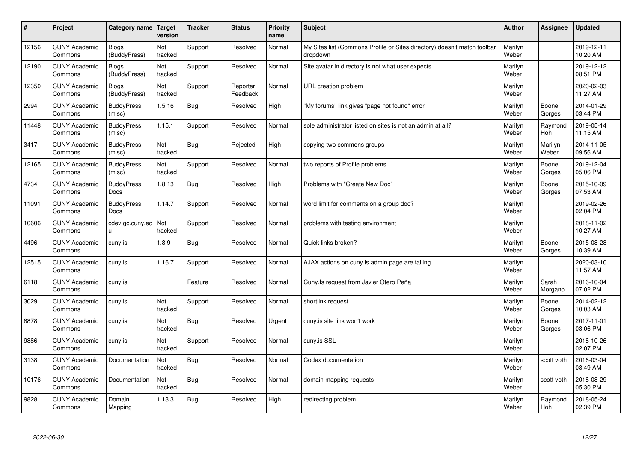| $\sharp$ | Project                         | Category name   Target           | version        | <b>Tracker</b> | <b>Status</b>        | <b>Priority</b><br>name | <b>Subject</b>                                                                       | <b>Author</b>    | Assignee         | Updated                |
|----------|---------------------------------|----------------------------------|----------------|----------------|----------------------|-------------------------|--------------------------------------------------------------------------------------|------------------|------------------|------------------------|
| 12156    | <b>CUNY Academic</b><br>Commons | <b>Blogs</b><br>(BuddyPress)     | Not<br>tracked | Support        | Resolved             | Normal                  | My Sites list (Commons Profile or Sites directory) doesn't match toolbar<br>dropdown | Marilyn<br>Weber |                  | 2019-12-11<br>10:20 AM |
| 12190    | <b>CUNY Academic</b><br>Commons | Blogs<br>(BuddyPress)            | Not<br>tracked | Support        | Resolved             | Normal                  | Site avatar in directory is not what user expects                                    | Marilyn<br>Weber |                  | 2019-12-12<br>08:51 PM |
| 12350    | <b>CUNY Academic</b><br>Commons | <b>Blogs</b><br>(BuddyPress)     | Not<br>tracked | Support        | Reporter<br>Feedback | Normal                  | URL creation problem                                                                 | Marilyn<br>Weber |                  | 2020-02-03<br>11:27 AM |
| 2994     | <b>CUNY Academic</b><br>Commons | <b>BuddyPress</b><br>(misc)      | 1.5.16         | Bug            | Resolved             | High                    | "My forums" link gives "page not found" error                                        | Marilyn<br>Weber | Boone<br>Gorges  | 2014-01-29<br>03:44 PM |
| 11448    | <b>CUNY Academic</b><br>Commons | <b>BuddyPress</b><br>(misc)      | 1.15.1         | Support        | Resolved             | Normal                  | sole administrator listed on sites is not an admin at all?                           | Marilyn<br>Weber | Raymond<br>Hoh   | 2019-05-14<br>11:15 AM |
| 3417     | <b>CUNY Academic</b><br>Commons | <b>BuddyPress</b><br>(misc)      | Not<br>tracked | Bug            | Rejected             | High                    | copying two commons groups                                                           | Marilyn<br>Weber | Marilyn<br>Weber | 2014-11-05<br>09:56 AM |
| 12165    | <b>CUNY Academic</b><br>Commons | <b>BuddyPress</b><br>(misc)      | Not<br>tracked | Support        | Resolved             | Normal                  | two reports of Profile problems                                                      | Marilyn<br>Weber | Boone<br>Gorges  | 2019-12-04<br>05:06 PM |
| 4734     | <b>CUNY Academic</b><br>Commons | <b>BuddyPress</b><br>Docs        | 1.8.13         | Bug            | Resolved             | High                    | Problems with "Create New Doc"                                                       | Marilyn<br>Weber | Boone<br>Gorges  | 2015-10-09<br>07:53 AM |
| 11091    | <b>CUNY Academic</b><br>Commons | <b>BuddyPress</b><br><b>Docs</b> | 1.14.7         | Support        | Resolved             | Normal                  | word limit for comments on a group doc?                                              | Marilyn<br>Weber |                  | 2019-02-26<br>02:04 PM |
| 10606    | <b>CUNY Academic</b><br>Commons | cdev.gc.cuny.ed<br>u.            | Not<br>tracked | Support        | Resolved             | Normal                  | problems with testing environment                                                    | Marilyn<br>Weber |                  | 2018-11-02<br>10:27 AM |
| 4496     | <b>CUNY Academic</b><br>Commons | cuny.is                          | 1.8.9          | <b>Bug</b>     | Resolved             | Normal                  | Quick links broken?                                                                  | Marilyn<br>Weber | Boone<br>Gorges  | 2015-08-28<br>10:39 AM |
| 12515    | <b>CUNY Academic</b><br>Commons | cuny.is                          | 1.16.7         | Support        | Resolved             | Normal                  | AJAX actions on cuny is admin page are failing                                       | Marilyn<br>Weber |                  | 2020-03-10<br>11:57 AM |
| 6118     | <b>CUNY Academic</b><br>Commons | cuny.is                          |                | Feature        | Resolved             | Normal                  | Cuny. Is request from Javier Otero Peña                                              | Marilyn<br>Weber | Sarah<br>Morgano | 2016-10-04<br>07:02 PM |
| 3029     | <b>CUNY Academic</b><br>Commons | cuny.is                          | Not<br>tracked | Support        | Resolved             | Normal                  | shortlink request                                                                    | Marilyn<br>Weber | Boone<br>Gorges  | 2014-02-12<br>10:03 AM |
| 8878     | <b>CUNY Academic</b><br>Commons | cuny.is                          | Not<br>tracked | Bug            | Resolved             | Urgent                  | cuny.is site link won't work                                                         | Marilyn<br>Weber | Boone<br>Gorges  | 2017-11-01<br>03:06 PM |
| 9886     | <b>CUNY Academic</b><br>Commons | cuny.is                          | Not<br>tracked | Support        | Resolved             | Normal                  | cuny.is SSL                                                                          | Marilyn<br>Weber |                  | 2018-10-26<br>02:07 PM |
| 3138     | <b>CUNY Academic</b><br>Commons | Documentation                    | Not<br>tracked | Bug            | Resolved             | Normal                  | Codex documentation                                                                  | Marilyn<br>Weber | scott voth       | 2016-03-04<br>08:49 AM |
| 10176    | <b>CUNY Academic</b><br>Commons | Documentation                    | Not<br>tracked | Bug            | Resolved             | Normal                  | domain mapping requests                                                              | Marilyn<br>Weber | scott voth       | 2018-08-29<br>05:30 PM |
| 9828     | <b>CUNY Academic</b><br>Commons | Domain<br>Mapping                | 1.13.3         | Bug            | Resolved             | High                    | redirecting problem                                                                  | Marilyn<br>Weber | Raymond<br>Hoh   | 2018-05-24<br>02:39 PM |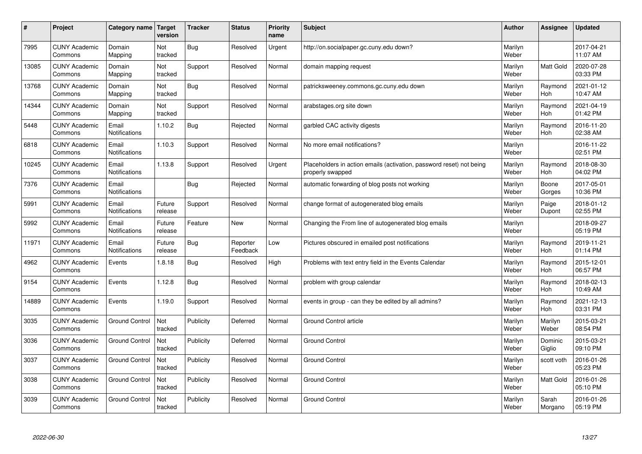| $\pmb{\#}$ | Project                         | Category name          | Target<br>version | <b>Tracker</b> | <b>Status</b>        | <b>Priority</b><br>name | <b>Subject</b>                                                                           | <b>Author</b>    | Assignee              | <b>Updated</b>         |
|------------|---------------------------------|------------------------|-------------------|----------------|----------------------|-------------------------|------------------------------------------------------------------------------------------|------------------|-----------------------|------------------------|
| 7995       | <b>CUNY Academic</b><br>Commons | Domain<br>Mapping      | Not<br>tracked    | Bug            | Resolved             | Urgent                  | http://on.socialpaper.gc.cuny.edu down?                                                  | Marilyn<br>Weber |                       | 2017-04-21<br>11:07 AM |
| 13085      | <b>CUNY Academic</b><br>Commons | Domain<br>Mapping      | Not<br>tracked    | Support        | Resolved             | Normal                  | domain mapping request                                                                   | Marilyn<br>Weber | <b>Matt Gold</b>      | 2020-07-28<br>03:33 PM |
| 13768      | <b>CUNY Academic</b><br>Commons | Domain<br>Mapping      | Not<br>tracked    | Bug            | Resolved             | Normal                  | patricksweeney.commons.gc.cuny.edu down                                                  | Marilyn<br>Weber | Raymond<br>Hoh        | 2021-01-12<br>10:47 AM |
| 14344      | <b>CUNY Academic</b><br>Commons | Domain<br>Mapping      | Not<br>tracked    | Support        | Resolved             | Normal                  | arabstages.org site down                                                                 | Marilyn<br>Weber | Raymond<br>Hoh        | 2021-04-19<br>01:42 PM |
| 5448       | <b>CUNY Academic</b><br>Commons | Email<br>Notifications | 1.10.2            | Bug            | Rejected             | Normal                  | garbled CAC activity digests                                                             | Marilyn<br>Weber | Raymond<br><b>Hoh</b> | 2016-11-20<br>02:38 AM |
| 6818       | <b>CUNY Academic</b><br>Commons | Email<br>Notifications | 1.10.3            | Support        | Resolved             | Normal                  | No more email notifications?                                                             | Marilyn<br>Weber |                       | 2016-11-22<br>02:51 PM |
| 10245      | <b>CUNY Academic</b><br>Commons | Email<br>Notifications | 1.13.8            | Support        | Resolved             | Urgent                  | Placeholders in action emails (activation, password reset) not being<br>properly swapped | Marilyn<br>Weber | Raymond<br>Hoh        | 2018-08-30<br>04:02 PM |
| 7376       | <b>CUNY Academic</b><br>Commons | Email<br>Notifications |                   | Bug            | Rejected             | Normal                  | automatic forwarding of blog posts not working                                           | Marilyn<br>Weber | Boone<br>Gorges       | 2017-05-01<br>10:36 PM |
| 5991       | <b>CUNY Academic</b><br>Commons | Email<br>Notifications | Future<br>release | Support        | Resolved             | Normal                  | change format of autogenerated blog emails                                               | Marilyn<br>Weber | Paige<br>Dupont       | 2018-01-12<br>02:55 PM |
| 5992       | <b>CUNY Academic</b><br>Commons | Email<br>Notifications | Future<br>release | Feature        | <b>New</b>           | Normal                  | Changing the From line of autogenerated blog emails                                      | Marilyn<br>Weber |                       | 2018-09-27<br>05:19 PM |
| 11971      | <b>CUNY Academic</b><br>Commons | Email<br>Notifications | Future<br>release | Bug            | Reporter<br>Feedback | Low                     | Pictures obscured in emailed post notifications                                          | Marilyn<br>Weber | Raymond<br>Hoh        | 2019-11-21<br>01:14 PM |
| 4962       | <b>CUNY Academic</b><br>Commons | Events                 | 1.8.18            | Bug            | Resolved             | High                    | Problems with text entry field in the Events Calendar                                    | Marilyn<br>Weber | Raymond<br>Hoh        | 2015-12-01<br>06:57 PM |
| 9154       | <b>CUNY Academic</b><br>Commons | Events                 | 1.12.8            | Bug            | Resolved             | Normal                  | problem with group calendar                                                              | Marilyn<br>Weber | Raymond<br>Hoh        | 2018-02-13<br>10:49 AM |
| 14889      | <b>CUNY Academic</b><br>Commons | Events                 | 1.19.0            | Support        | Resolved             | Normal                  | events in group - can they be edited by all admins?                                      | Marilyn<br>Weber | Raymond<br><b>Hoh</b> | 2021-12-13<br>03:31 PM |
| 3035       | <b>CUNY Academic</b><br>Commons | <b>Ground Control</b>  | Not<br>tracked    | Publicity      | Deferred             | Normal                  | Ground Control article                                                                   | Marilyn<br>Weber | Marilyn<br>Weber      | 2015-03-21<br>08:54 PM |
| 3036       | <b>CUNY Academic</b><br>Commons | <b>Ground Control</b>  | Not<br>tracked    | Publicity      | Deferred             | Normal                  | <b>Ground Control</b>                                                                    | Marilyn<br>Weber | Dominic<br>Giglio     | 2015-03-21<br>09:10 PM |
| 3037       | <b>CUNY Academic</b><br>Commons | <b>Ground Control</b>  | Not<br>tracked    | Publicity      | Resolved             | Normal                  | <b>Ground Control</b>                                                                    | Marilyn<br>Weber | scott voth            | 2016-01-26<br>05:23 PM |
| 3038       | <b>CUNY Academic</b><br>Commons | <b>Ground Control</b>  | Not<br>tracked    | Publicity      | Resolved             | Normal                  | <b>Ground Control</b>                                                                    | Marilyn<br>Weber | Matt Gold             | 2016-01-26<br>05:10 PM |
| 3039       | <b>CUNY Academic</b><br>Commons | <b>Ground Control</b>  | Not<br>tracked    | Publicity      | Resolved             | Normal                  | <b>Ground Control</b>                                                                    | Marilyn<br>Weber | Sarah<br>Morgano      | 2016-01-26<br>05:19 PM |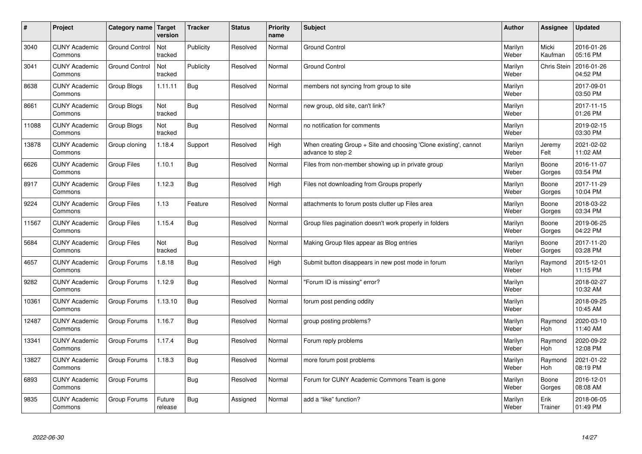| #     | Project                         | Category name   Target | version           | <b>Tracker</b> | <b>Status</b> | <b>Priority</b><br>name | <b>Subject</b>                                                                        | <b>Author</b>    | Assignee              | <b>Updated</b>         |
|-------|---------------------------------|------------------------|-------------------|----------------|---------------|-------------------------|---------------------------------------------------------------------------------------|------------------|-----------------------|------------------------|
| 3040  | <b>CUNY Academic</b><br>Commons | <b>Ground Control</b>  | Not<br>tracked    | Publicity      | Resolved      | Normal                  | <b>Ground Control</b>                                                                 | Marilyn<br>Weber | Micki<br>Kaufman      | 2016-01-26<br>05:16 PM |
| 3041  | <b>CUNY Academic</b><br>Commons | <b>Ground Control</b>  | Not<br>tracked    | Publicity      | Resolved      | Normal                  | <b>Ground Control</b>                                                                 | Marilyn<br>Weber | <b>Chris Stein</b>    | 2016-01-26<br>04:52 PM |
| 8638  | <b>CUNY Academic</b><br>Commons | Group Blogs            | 1.11.11           | Bug            | Resolved      | Normal                  | members not syncing from group to site                                                | Marilyn<br>Weber |                       | 2017-09-01<br>03:50 PM |
| 8661  | <b>CUNY Academic</b><br>Commons | Group Blogs            | Not<br>tracked    | Bug            | Resolved      | Normal                  | new group, old site, can't link?                                                      | Marilyn<br>Weber |                       | 2017-11-15<br>01:26 PM |
| 11088 | <b>CUNY Academic</b><br>Commons | Group Blogs            | Not<br>tracked    | Bug            | Resolved      | Normal                  | no notification for comments                                                          | Marilyn<br>Weber |                       | 2019-02-15<br>03:30 PM |
| 13878 | <b>CUNY Academic</b><br>Commons | Group cloning          | 1.18.4            | Support        | Resolved      | High                    | When creating Group + Site and choosing 'Clone existing', cannot<br>advance to step 2 | Marilyn<br>Weber | Jeremy<br>Felt        | 2021-02-02<br>11:02 AM |
| 6626  | <b>CUNY Academic</b><br>Commons | Group Files            | 1.10.1            | <b>Bug</b>     | Resolved      | Normal                  | Files from non-member showing up in private group                                     | Marilyn<br>Weber | Boone<br>Gorges       | 2016-11-07<br>03:54 PM |
| 8917  | <b>CUNY Academic</b><br>Commons | <b>Group Files</b>     | 1.12.3            | Bug            | Resolved      | High                    | Files not downloading from Groups properly                                            | Marilyn<br>Weber | Boone<br>Gorges       | 2017-11-29<br>10:04 PM |
| 9224  | <b>CUNY Academic</b><br>Commons | Group Files            | 1.13              | Feature        | Resolved      | Normal                  | attachments to forum posts clutter up Files area                                      | Marilyn<br>Weber | Boone<br>Gorges       | 2018-03-22<br>03:34 PM |
| 11567 | <b>CUNY Academic</b><br>Commons | Group Files            | 1.15.4            | Bug            | Resolved      | Normal                  | Group files pagination doesn't work properly in folders                               | Marilyn<br>Weber | Boone<br>Gorges       | 2019-06-25<br>04:22 PM |
| 5684  | <b>CUNY Academic</b><br>Commons | <b>Group Files</b>     | Not<br>tracked    | Bug            | Resolved      | Normal                  | Making Group files appear as Blog entries                                             | Marilyn<br>Weber | Boone<br>Gorges       | 2017-11-20<br>03:28 PM |
| 4657  | <b>CUNY Academic</b><br>Commons | Group Forums           | 1.8.18            | Bug            | Resolved      | High                    | Submit button disappears in new post mode in forum                                    | Marilyn<br>Weber | Raymond<br>Hoh        | 2015-12-01<br>11:15 PM |
| 9282  | <b>CUNY Academic</b><br>Commons | Group Forums           | 1.12.9            | Bug            | Resolved      | Normal                  | 'Forum ID is missing" error?                                                          | Marilyn<br>Weber |                       | 2018-02-27<br>10:32 AM |
| 10361 | <b>CUNY Academic</b><br>Commons | Group Forums           | 1.13.10           | Bug            | Resolved      | Normal                  | forum post pending oddity                                                             | Marilyn<br>Weber |                       | 2018-09-25<br>10:45 AM |
| 12487 | <b>CUNY Academic</b><br>Commons | Group Forums           | 1.16.7            | <b>Bug</b>     | Resolved      | Normal                  | group posting problems?                                                               | Marilyn<br>Weber | Raymond<br><b>Hoh</b> | 2020-03-10<br>11:40 AM |
| 13341 | <b>CUNY Academic</b><br>Commons | Group Forums           | 1.17.4            | Bug            | Resolved      | Normal                  | Forum reply problems                                                                  | Marilyn<br>Weber | Raymond<br>Hoh        | 2020-09-22<br>12:08 PM |
| 13827 | <b>CUNY Academic</b><br>Commons | Group Forums           | 1.18.3            | Bug            | Resolved      | Normal                  | more forum post problems                                                              | Marilyn<br>Weber | Raymond<br><b>Hoh</b> | 2021-01-22<br>08:19 PM |
| 6893  | <b>CUNY Academic</b><br>Commons | Group Forums           |                   | Bug            | Resolved      | Normal                  | Forum for CUNY Academic Commons Team is gone                                          | Marilyn<br>Weber | Boone<br>Gorges       | 2016-12-01<br>08:08 AM |
| 9835  | <b>CUNY Academic</b><br>Commons | Group Forums           | Future<br>release | Bug            | Assigned      | Normal                  | add a "like" function?                                                                | Marilyn<br>Weber | Erik<br>Trainer       | 2018-06-05<br>01:49 PM |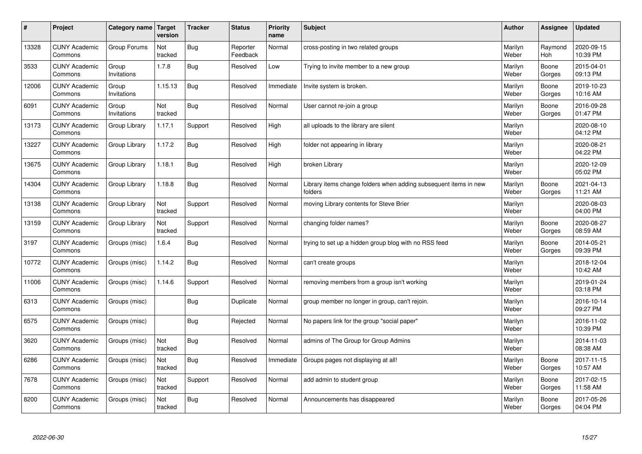| #     | Project                         | Category name   Target | version        | <b>Tracker</b> | <b>Status</b>        | Priority<br>name | <b>Subject</b>                                                              | <b>Author</b>    | <b>Assignee</b>       | <b>Updated</b>         |
|-------|---------------------------------|------------------------|----------------|----------------|----------------------|------------------|-----------------------------------------------------------------------------|------------------|-----------------------|------------------------|
| 13328 | <b>CUNY Academic</b><br>Commons | Group Forums           | Not<br>tracked | Bug            | Reporter<br>Feedback | Normal           | cross-posting in two related groups                                         | Marilyn<br>Weber | Raymond<br><b>Hoh</b> | 2020-09-15<br>10:39 PM |
| 3533  | <b>CUNY Academic</b><br>Commons | Group<br>Invitations   | 1.7.8          | <b>Bug</b>     | Resolved             | Low              | Trying to invite member to a new group                                      | Marilyn<br>Weber | Boone<br>Gorges       | 2015-04-01<br>09:13 PM |
| 12006 | <b>CUNY Academic</b><br>Commons | Group<br>Invitations   | 1.15.13        | Bug            | Resolved             | Immediate        | Invite system is broken.                                                    | Marilyn<br>Weber | Boone<br>Gorges       | 2019-10-23<br>10:16 AM |
| 6091  | <b>CUNY Academic</b><br>Commons | Group<br>Invitations   | Not<br>tracked | Bug            | Resolved             | Normal           | User cannot re-join a group                                                 | Marilyn<br>Weber | Boone<br>Gorges       | 2016-09-28<br>01:47 PM |
| 13173 | <b>CUNY Academic</b><br>Commons | Group Library          | 1.17.1         | Support        | Resolved             | High             | all uploads to the library are silent                                       | Marilyn<br>Weber |                       | 2020-08-10<br>04:12 PM |
| 13227 | <b>CUNY Academic</b><br>Commons | Group Library          | 1.17.2         | Bug            | Resolved             | High             | folder not appearing in library                                             | Marilyn<br>Weber |                       | 2020-08-21<br>04:22 PM |
| 13675 | <b>CUNY Academic</b><br>Commons | Group Library          | 1.18.1         | <b>Bug</b>     | Resolved             | High             | broken Library                                                              | Marilyn<br>Weber |                       | 2020-12-09<br>05:02 PM |
| 14304 | <b>CUNY Academic</b><br>Commons | Group Library          | 1.18.8         | Bug            | Resolved             | Normal           | Library items change folders when adding subsequent items in new<br>folders | Marilyn<br>Weber | Boone<br>Gorges       | 2021-04-13<br>11:21 AM |
| 13138 | <b>CUNY Academic</b><br>Commons | Group Library          | Not<br>tracked | Support        | Resolved             | Normal           | moving Library contents for Steve Brier                                     | Marilyn<br>Weber |                       | 2020-08-03<br>04:00 PM |
| 13159 | <b>CUNY Academic</b><br>Commons | Group Library          | Not<br>tracked | Support        | Resolved             | Normal           | changing folder names?                                                      | Marilyn<br>Weber | Boone<br>Gorges       | 2020-08-27<br>08:59 AM |
| 3197  | <b>CUNY Academic</b><br>Commons | Groups (misc)          | 1.6.4          | <b>Bug</b>     | Resolved             | Normal           | trying to set up a hidden group blog with no RSS feed                       | Marilyn<br>Weber | Boone<br>Gorges       | 2014-05-21<br>09:39 PM |
| 10772 | <b>CUNY Academic</b><br>Commons | Groups (misc)          | 1.14.2         | Bug            | Resolved             | Normal           | can't create groups                                                         | Marilyn<br>Weber |                       | 2018-12-04<br>10:42 AM |
| 11006 | <b>CUNY Academic</b><br>Commons | Groups (misc)          | 1.14.6         | Support        | Resolved             | Normal           | removing members from a group isn't working                                 | Marilyn<br>Weber |                       | 2019-01-24<br>03:18 PM |
| 6313  | <b>CUNY Academic</b><br>Commons | Groups (misc)          |                | Bug            | Duplicate            | Normal           | group member no longer in group, can't rejoin.                              | Marilyn<br>Weber |                       | 2016-10-14<br>09:27 PM |
| 6575  | <b>CUNY Academic</b><br>Commons | Groups (misc)          |                | <b>Bug</b>     | Rejected             | Normal           | No papers link for the group "social paper"                                 | Marilyn<br>Weber |                       | 2016-11-02<br>10:39 PM |
| 3620  | <b>CUNY Academic</b><br>Commons | Groups (misc)          | Not<br>tracked | Bug            | Resolved             | Normal           | admins of The Group for Group Admins                                        | Marilyn<br>Weber |                       | 2014-11-03<br>08:38 AM |
| 6286  | <b>CUNY Academic</b><br>Commons | Groups (misc)          | Not<br>tracked | Bug            | Resolved             | Immediate        | Groups pages not displaying at all!                                         | Marilyn<br>Weber | Boone<br>Gorges       | 2017-11-15<br>10:57 AM |
| 7678  | <b>CUNY Academic</b><br>Commons | Groups (misc)          | Not<br>tracked | Support        | Resolved             | Normal           | add admin to student group                                                  | Marilyn<br>Weber | Boone<br>Gorges       | 2017-02-15<br>11:58 AM |
| 8200  | <b>CUNY Academic</b><br>Commons | Groups (misc)          | Not<br>tracked | <b>Bug</b>     | Resolved             | Normal           | Announcements has disappeared                                               | Marilyn<br>Weber | Boone<br>Gorges       | 2017-05-26<br>04:04 PM |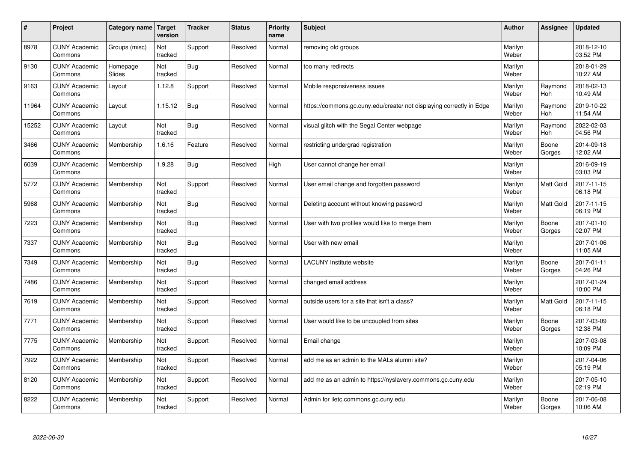| $\vert$ # | Project                         | Category name      | <b>Target</b><br>version | <b>Tracker</b> | <b>Status</b> | <b>Priority</b><br>name | <b>Subject</b>                                                       | <b>Author</b>    | <b>Assignee</b>       | <b>Updated</b>         |
|-----------|---------------------------------|--------------------|--------------------------|----------------|---------------|-------------------------|----------------------------------------------------------------------|------------------|-----------------------|------------------------|
| 8978      | <b>CUNY Academic</b><br>Commons | Groups (misc)      | Not<br>tracked           | Support        | Resolved      | Normal                  | removing old groups                                                  | Marilyn<br>Weber |                       | 2018-12-10<br>03:52 PM |
| 9130      | <b>CUNY Academic</b><br>Commons | Homepage<br>Slides | Not<br>tracked           | Bug            | Resolved      | Normal                  | too many redirects                                                   | Marilyn<br>Weber |                       | 2018-01-29<br>10:27 AM |
| 9163      | <b>CUNY Academic</b><br>Commons | Layout             | 1.12.8                   | Support        | Resolved      | Normal                  | Mobile responsiveness issues                                         | Marilyn<br>Weber | Raymond<br><b>Hoh</b> | 2018-02-13<br>10:49 AM |
| 11964     | <b>CUNY Academic</b><br>Commons | Layout             | 1.15.12                  | <b>Bug</b>     | Resolved      | Normal                  | https://commons.gc.cuny.edu/create/ not displaying correctly in Edge | Marilyn<br>Weber | Raymond<br><b>Hoh</b> | 2019-10-22<br>11:54 AM |
| 15252     | <b>CUNY Academic</b><br>Commons | Layout             | Not<br>tracked           | <b>Bug</b>     | Resolved      | Normal                  | visual glitch with the Segal Center webpage                          | Marilyn<br>Weber | Raymond<br>Hoh        | 2022-02-03<br>04:56 PM |
| 3466      | <b>CUNY Academic</b><br>Commons | Membership         | 1.6.16                   | Feature        | Resolved      | Normal                  | restricting undergrad registration                                   | Marilyn<br>Weber | Boone<br>Gorges       | 2014-09-18<br>12:02 AM |
| 6039      | <b>CUNY Academic</b><br>Commons | Membership         | 1.9.28                   | Bug            | Resolved      | High                    | User cannot change her email                                         | Marilyn<br>Weber |                       | 2016-09-19<br>03:03 PM |
| 5772      | <b>CUNY Academic</b><br>Commons | Membership         | Not<br>tracked           | Support        | Resolved      | Normal                  | User email change and forgotten password                             | Marilyn<br>Weber | Matt Gold             | 2017-11-15<br>06:18 PM |
| 5968      | <b>CUNY Academic</b><br>Commons | Membership         | Not<br>tracked           | Bug            | Resolved      | Normal                  | Deleting account without knowing password                            | Marilyn<br>Weber | Matt Gold             | 2017-11-15<br>06:19 PM |
| 7223      | <b>CUNY Academic</b><br>Commons | Membership         | Not<br>tracked           | <b>Bug</b>     | Resolved      | Normal                  | User with two profiles would like to merge them                      | Marilyn<br>Weber | Boone<br>Gorges       | 2017-01-10<br>02:07 PM |
| 7337      | <b>CUNY Academic</b><br>Commons | Membership         | Not<br>tracked           | Bug            | Resolved      | Normal                  | User with new email                                                  | Marilyn<br>Weber |                       | 2017-01-06<br>11:05 AM |
| 7349      | <b>CUNY Academic</b><br>Commons | Membership         | Not<br>tracked           | Bug            | Resolved      | Normal                  | <b>LACUNY Institute website</b>                                      | Marilyn<br>Weber | Boone<br>Gorges       | 2017-01-11<br>04:26 PM |
| 7486      | <b>CUNY Academic</b><br>Commons | Membership         | Not<br>tracked           | Support        | Resolved      | Normal                  | changed email address                                                | Marilyn<br>Weber |                       | 2017-01-24<br>10:00 PM |
| 7619      | <b>CUNY Academic</b><br>Commons | Membership         | Not<br>tracked           | Support        | Resolved      | Normal                  | outside users for a site that isn't a class?                         | Marilyn<br>Weber | Matt Gold             | 2017-11-15<br>06:18 PM |
| 7771      | <b>CUNY Academic</b><br>Commons | Membership         | Not<br>tracked           | Support        | Resolved      | Normal                  | User would like to be uncoupled from sites                           | Marilyn<br>Weber | Boone<br>Gorges       | 2017-03-09<br>12:38 PM |
| 7775      | <b>CUNY Academic</b><br>Commons | Membership         | Not<br>tracked           | Support        | Resolved      | Normal                  | Email change                                                         | Marilyn<br>Weber |                       | 2017-03-08<br>10:09 PM |
| 7922      | <b>CUNY Academic</b><br>Commons | Membership         | Not<br>tracked           | Support        | Resolved      | Normal                  | add me as an admin to the MALs alumni site?                          | Marilyn<br>Weber |                       | 2017-04-06<br>05:19 PM |
| 8120      | <b>CUNY Academic</b><br>Commons | Membership         | Not<br>tracked           | Support        | Resolved      | Normal                  | add me as an admin to https://nyslavery.commons.gc.cuny.edu          | Marilyn<br>Weber |                       | 2017-05-10<br>02:19 PM |
| 8222      | <b>CUNY Academic</b><br>Commons | Membership         | Not<br>tracked           | Support        | Resolved      | Normal                  | Admin for iletc.commons.gc.cuny.edu                                  | Marilyn<br>Weber | Boone<br>Gorges       | 2017-06-08<br>10:06 AM |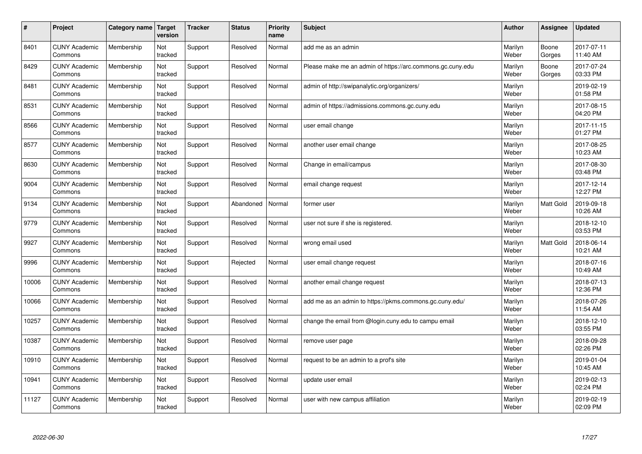| #     | Project                         | Category name   Target | version        | <b>Tracker</b> | <b>Status</b> | Priority<br>name | <b>Subject</b>                                             | <b>Author</b>    | <b>Assignee</b>  | <b>Updated</b>         |
|-------|---------------------------------|------------------------|----------------|----------------|---------------|------------------|------------------------------------------------------------|------------------|------------------|------------------------|
| 8401  | <b>CUNY Academic</b><br>Commons | Membership             | Not<br>tracked | Support        | Resolved      | Normal           | add me as an admin                                         | Marilyn<br>Weber | Boone<br>Gorges  | 2017-07-11<br>11:40 AM |
| 8429  | <b>CUNY Academic</b><br>Commons | Membership             | Not<br>tracked | Support        | Resolved      | Normal           | Please make me an admin of https://arc.commons.gc.cuny.edu | Marilyn<br>Weber | Boone<br>Gorges  | 2017-07-24<br>03:33 PM |
| 8481  | <b>CUNY Academic</b><br>Commons | Membership             | Not<br>tracked | Support        | Resolved      | Normal           | admin of http://swipanalytic.org/organizers/               | Marilyn<br>Weber |                  | 2019-02-19<br>01:58 PM |
| 8531  | <b>CUNY Academic</b><br>Commons | Membership             | Not<br>tracked | Support        | Resolved      | Normal           | admin of https://admissions.commons.gc.cuny.edu            | Marilyn<br>Weber |                  | 2017-08-15<br>04:20 PM |
| 8566  | <b>CUNY Academic</b><br>Commons | Membership             | Not<br>tracked | Support        | Resolved      | Normal           | user email change                                          | Marilyn<br>Weber |                  | 2017-11-15<br>01:27 PM |
| 8577  | <b>CUNY Academic</b><br>Commons | Membership             | Not<br>tracked | Support        | Resolved      | Normal           | another user email change                                  | Marilyn<br>Weber |                  | 2017-08-25<br>10:23 AM |
| 8630  | <b>CUNY Academic</b><br>Commons | Membership             | Not<br>tracked | Support        | Resolved      | Normal           | Change in email/campus                                     | Marilyn<br>Weber |                  | 2017-08-30<br>03:48 PM |
| 9004  | <b>CUNY Academic</b><br>Commons | Membership             | Not<br>tracked | Support        | Resolved      | Normal           | email change request                                       | Marilyn<br>Weber |                  | 2017-12-14<br>12:27 PM |
| 9134  | <b>CUNY Academic</b><br>Commons | Membership             | Not<br>tracked | Support        | Abandoned     | Normal           | former user                                                | Marilyn<br>Weber | <b>Matt Gold</b> | 2019-09-18<br>10:26 AM |
| 9779  | <b>CUNY Academic</b><br>Commons | Membership             | Not<br>tracked | Support        | Resolved      | Normal           | user not sure if she is registered.                        | Marilyn<br>Weber |                  | 2018-12-10<br>03:53 PM |
| 9927  | <b>CUNY Academic</b><br>Commons | Membership             | Not<br>tracked | Support        | Resolved      | Normal           | wrong email used                                           | Marilyn<br>Weber | <b>Matt Gold</b> | 2018-06-14<br>10:21 AM |
| 9996  | <b>CUNY Academic</b><br>Commons | Membership             | Not<br>tracked | Support        | Rejected      | Normal           | user email change request                                  | Marilyn<br>Weber |                  | 2018-07-16<br>10:49 AM |
| 10006 | <b>CUNY Academic</b><br>Commons | Membership             | Not<br>tracked | Support        | Resolved      | Normal           | another email change request                               | Marilyn<br>Weber |                  | 2018-07-13<br>12:36 PM |
| 10066 | <b>CUNY Academic</b><br>Commons | Membership             | Not<br>tracked | Support        | Resolved      | Normal           | add me as an admin to https://pkms.commons.gc.cuny.edu/    | Marilyn<br>Weber |                  | 2018-07-26<br>11:54 AM |
| 10257 | <b>CUNY Academic</b><br>Commons | Membership             | Not<br>tracked | Support        | Resolved      | Normal           | change the email from @login.cuny.edu to campu email       | Marilyn<br>Weber |                  | 2018-12-10<br>03:55 PM |
| 10387 | <b>CUNY Academic</b><br>Commons | Membership             | Not<br>tracked | Support        | Resolved      | Normal           | remove user page                                           | Marilyn<br>Weber |                  | 2018-09-28<br>02:26 PM |
| 10910 | <b>CUNY Academic</b><br>Commons | Membership             | Not<br>tracked | Support        | Resolved      | Normal           | request to be an admin to a prof's site                    | Marilyn<br>Weber |                  | 2019-01-04<br>10:45 AM |
| 10941 | <b>CUNY Academic</b><br>Commons | Membership             | Not<br>tracked | Support        | Resolved      | Normal           | update user email                                          | Marilyn<br>Weber |                  | 2019-02-13<br>02:24 PM |
| 11127 | <b>CUNY Academic</b><br>Commons | Membership             | Not<br>tracked | Support        | Resolved      | Normal           | user with new campus affiliation                           | Marilyn<br>Weber |                  | 2019-02-19<br>02:09 PM |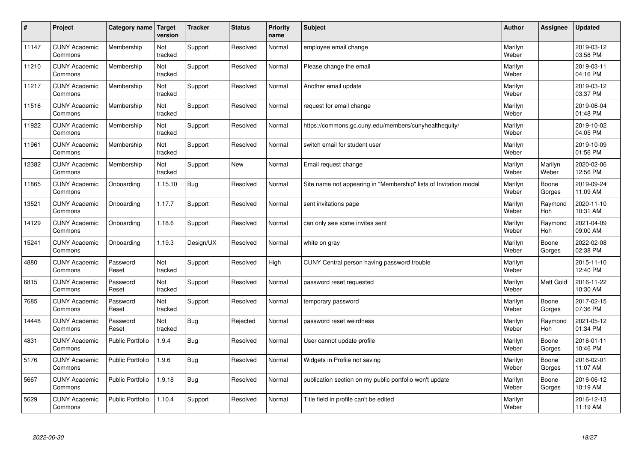| $\sharp$ | Project                         | Category name   Target  | version        | <b>Tracker</b> | <b>Status</b> | <b>Priority</b><br>name | <b>Subject</b>                                                    | <b>Author</b>    | Assignee              | <b>Updated</b>         |
|----------|---------------------------------|-------------------------|----------------|----------------|---------------|-------------------------|-------------------------------------------------------------------|------------------|-----------------------|------------------------|
| 11147    | <b>CUNY Academic</b><br>Commons | Membership              | Not<br>tracked | Support        | Resolved      | Normal                  | employee email change                                             | Marilyn<br>Weber |                       | 2019-03-12<br>03:58 PM |
| 11210    | <b>CUNY Academic</b><br>Commons | Membership              | Not<br>tracked | Support        | Resolved      | Normal                  | Please change the email                                           | Marilyn<br>Weber |                       | 2019-03-11<br>04:16 PM |
| 11217    | <b>CUNY Academic</b><br>Commons | Membership              | Not<br>tracked | Support        | Resolved      | Normal                  | Another email update                                              | Marilyn<br>Weber |                       | 2019-03-12<br>03:37 PM |
| 11516    | <b>CUNY Academic</b><br>Commons | Membership              | Not<br>tracked | Support        | Resolved      | Normal                  | request for email change                                          | Marilyn<br>Weber |                       | 2019-06-04<br>01:48 PM |
| 11922    | <b>CUNY Academic</b><br>Commons | Membership              | Not<br>tracked | Support        | Resolved      | Normal                  | https://commons.gc.cuny.edu/members/cunyhealthequity/             | Marilyn<br>Weber |                       | 2019-10-02<br>04:05 PM |
| 11961    | <b>CUNY Academic</b><br>Commons | Membership              | Not<br>tracked | Support        | Resolved      | Normal                  | switch email for student user                                     | Marilyn<br>Weber |                       | 2019-10-09<br>01:56 PM |
| 12382    | <b>CUNY Academic</b><br>Commons | Membership              | Not<br>tracked | Support        | <b>New</b>    | Normal                  | Email request change                                              | Marilyn<br>Weber | Marilyn<br>Weber      | 2020-02-06<br>12:56 PM |
| 11865    | <b>CUNY Academic</b><br>Commons | Onboarding              | 1.15.10        | <b>Bug</b>     | Resolved      | Normal                  | Site name not appearing in "Membership" lists of Invitation modal | Marilyn<br>Weber | Boone<br>Gorges       | 2019-09-24<br>11:09 AM |
| 13521    | <b>CUNY Academic</b><br>Commons | Onboarding              | 1.17.7         | Support        | Resolved      | Normal                  | sent invitations page                                             | Marilyn<br>Weber | Raymond<br><b>Hoh</b> | 2020-11-10<br>10:31 AM |
| 14129    | <b>CUNY Academic</b><br>Commons | Onboarding              | 1.18.6         | Support        | Resolved      | Normal                  | can only see some invites sent                                    | Marilyn<br>Weber | Raymond<br>Hoh        | 2021-04-09<br>09:00 AM |
| 15241    | <b>CUNY Academic</b><br>Commons | Onboarding              | 1.19.3         | Design/UX      | Resolved      | Normal                  | white on gray                                                     | Marilyn<br>Weber | Boone<br>Gorges       | 2022-02-08<br>02:38 PM |
| 4880     | <b>CUNY Academic</b><br>Commons | Password<br>Reset       | Not<br>tracked | Support        | Resolved      | High                    | CUNY Central person having password trouble                       | Marilyn<br>Weber |                       | 2015-11-10<br>12:40 PM |
| 6815     | <b>CUNY Academic</b><br>Commons | Password<br>Reset       | Not<br>tracked | Support        | Resolved      | Normal                  | password reset requested                                          | Marilyn<br>Weber | <b>Matt Gold</b>      | 2016-11-22<br>10:30 AM |
| 7685     | <b>CUNY Academic</b><br>Commons | Password<br>Reset       | Not<br>tracked | Support        | Resolved      | Normal                  | temporary password                                                | Marilyn<br>Weber | Boone<br>Gorges       | 2017-02-15<br>07:36 PM |
| 14448    | <b>CUNY Academic</b><br>Commons | Password<br>Reset       | Not<br>tracked | Bug            | Rejected      | Normal                  | password reset weirdness                                          | Marilyn<br>Weber | Raymond<br>Hoh        | 2021-05-12<br>01:34 PM |
| 4831     | <b>CUNY Academic</b><br>Commons | <b>Public Portfolio</b> | 1.9.4          | Bug            | Resolved      | Normal                  | User cannot update profile                                        | Marilyn<br>Weber | Boone<br>Gorges       | 2016-01-11<br>10:46 PM |
| 5176     | <b>CUNY Academic</b><br>Commons | Public Portfolio        | 1.9.6          | Bug            | Resolved      | Normal                  | Widgets in Profile not saving                                     | Marilyn<br>Weber | Boone<br>Gorges       | 2016-02-01<br>11:07 AM |
| 5667     | <b>CUNY Academic</b><br>Commons | <b>Public Portfolio</b> | 1.9.18         | <b>Bug</b>     | Resolved      | Normal                  | publication section on my public portfolio won't update           | Marilyn<br>Weber | Boone<br>Gorges       | 2016-06-12<br>10:19 AM |
| 5629     | <b>CUNY Academic</b><br>Commons | <b>Public Portfolio</b> | 1.10.4         | Support        | Resolved      | Normal                  | Title field in profile can't be edited                            | Marilyn<br>Weber |                       | 2016-12-13<br>11:19 AM |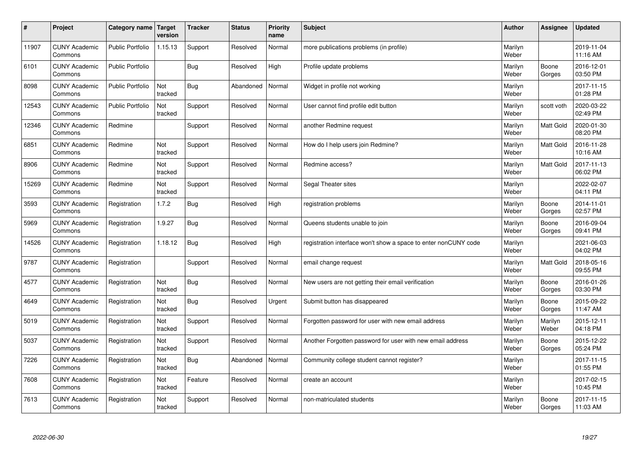| $\pmb{\#}$ | Project                         | Category name           | Target<br>version | <b>Tracker</b> | <b>Status</b> | <b>Priority</b><br>name | <b>Subject</b>                                                  | <b>Author</b>    | Assignee         | <b>Updated</b>         |
|------------|---------------------------------|-------------------------|-------------------|----------------|---------------|-------------------------|-----------------------------------------------------------------|------------------|------------------|------------------------|
| 11907      | <b>CUNY Academic</b><br>Commons | <b>Public Portfolio</b> | 1.15.13           | Support        | Resolved      | Normal                  | more publications problems (in profile)                         | Marilyn<br>Weber |                  | 2019-11-04<br>11:16 AM |
| 6101       | <b>CUNY Academic</b><br>Commons | <b>Public Portfolio</b> |                   | <b>Bug</b>     | Resolved      | High                    | Profile update problems                                         | Marilyn<br>Weber | Boone<br>Gorges  | 2016-12-01<br>03:50 PM |
| 8098       | <b>CUNY Academic</b><br>Commons | <b>Public Portfolio</b> | Not<br>tracked    | <b>Bug</b>     | Abandoned     | Normal                  | Widget in profile not working                                   | Marilyn<br>Weber |                  | 2017-11-15<br>01:28 PM |
| 12543      | <b>CUNY Academic</b><br>Commons | <b>Public Portfolio</b> | Not<br>tracked    | Support        | Resolved      | Normal                  | User cannot find profile edit button                            | Marilyn<br>Weber | scott voth       | 2020-03-22<br>02:49 PM |
| 12346      | <b>CUNY Academic</b><br>Commons | Redmine                 |                   | Support        | Resolved      | Normal                  | another Redmine request                                         | Marilyn<br>Weber | Matt Gold        | 2020-01-30<br>08:20 PM |
| 6851       | <b>CUNY Academic</b><br>Commons | Redmine                 | Not<br>tracked    | Support        | Resolved      | Normal                  | How do I help users join Redmine?                               | Marilyn<br>Weber | Matt Gold        | 2016-11-28<br>10:16 AM |
| 8906       | <b>CUNY Academic</b><br>Commons | Redmine                 | Not<br>tracked    | Support        | Resolved      | Normal                  | Redmine access?                                                 | Marilyn<br>Weber | Matt Gold        | 2017-11-13<br>06:02 PM |
| 15269      | <b>CUNY Academic</b><br>Commons | Redmine                 | Not<br>tracked    | Support        | Resolved      | Normal                  | Segal Theater sites                                             | Marilyn<br>Weber |                  | 2022-02-07<br>04:11 PM |
| 3593       | <b>CUNY Academic</b><br>Commons | Registration            | 1.7.2             | Bug            | Resolved      | High                    | registration problems                                           | Marilyn<br>Weber | Boone<br>Gorges  | 2014-11-01<br>02:57 PM |
| 5969       | <b>CUNY Academic</b><br>Commons | Registration            | 1.9.27            | <b>Bug</b>     | Resolved      | Normal                  | Queens students unable to join                                  | Marilyn<br>Weber | Boone<br>Gorges  | 2016-09-04<br>09:41 PM |
| 14526      | <b>CUNY Academic</b><br>Commons | Registration            | 1.18.12           | Bug            | Resolved      | High                    | registration interface won't show a space to enter nonCUNY code | Marilyn<br>Weber |                  | 2021-06-03<br>04:02 PM |
| 9787       | <b>CUNY Academic</b><br>Commons | Registration            |                   | Support        | Resolved      | Normal                  | email change request                                            | Marilyn<br>Weber | Matt Gold        | 2018-05-16<br>09:55 PM |
| 4577       | <b>CUNY Academic</b><br>Commons | Registration            | Not<br>tracked    | Bug            | Resolved      | Normal                  | New users are not getting their email verification              | Marilyn<br>Weber | Boone<br>Gorges  | 2016-01-26<br>03:30 PM |
| 4649       | <b>CUNY Academic</b><br>Commons | Registration            | Not<br>tracked    | Bug            | Resolved      | Urgent                  | Submit button has disappeared                                   | Marilyn<br>Weber | Boone<br>Gorges  | 2015-09-22<br>11:47 AM |
| 5019       | <b>CUNY Academic</b><br>Commons | Registration            | Not<br>tracked    | Support        | Resolved      | Normal                  | Forgotten password for user with new email address              | Marilyn<br>Weber | Marilyn<br>Weber | 2015-12-11<br>04:18 PM |
| 5037       | <b>CUNY Academic</b><br>Commons | Registration            | Not<br>tracked    | Support        | Resolved      | Normal                  | Another Forgotten password for user with new email address      | Marilyn<br>Weber | Boone<br>Gorges  | 2015-12-22<br>05:24 PM |
| 7226       | <b>CUNY Academic</b><br>Commons | Registration            | Not<br>tracked    | <b>Bug</b>     | Abandoned     | Normal                  | Community college student cannot register?                      | Marilyn<br>Weber |                  | 2017-11-15<br>01:55 PM |
| 7608       | <b>CUNY Academic</b><br>Commons | Registration            | Not<br>tracked    | Feature        | Resolved      | Normal                  | create an account                                               | Marilyn<br>Weber |                  | 2017-02-15<br>10:45 PM |
| 7613       | <b>CUNY Academic</b><br>Commons | Registration            | Not<br>tracked    | Support        | Resolved      | Normal                  | non-matriculated students                                       | Marilyn<br>Weber | Boone<br>Gorges  | 2017-11-15<br>11:03 AM |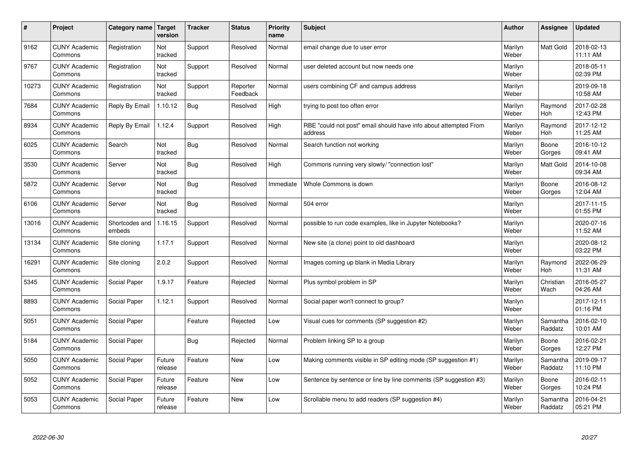| $\sharp$ | Project                         | Category name   Target   | version           | <b>Tracker</b> | <b>Status</b>        | <b>Priority</b><br>name | <b>Subject</b>                                                              | <b>Author</b>    | Assignee              | <b>Updated</b>         |
|----------|---------------------------------|--------------------------|-------------------|----------------|----------------------|-------------------------|-----------------------------------------------------------------------------|------------------|-----------------------|------------------------|
| 9162     | <b>CUNY Academic</b><br>Commons | Registration             | Not<br>tracked    | Support        | Resolved             | Normal                  | email change due to user error                                              | Marilyn<br>Weber | <b>Matt Gold</b>      | 2018-02-13<br>11:11 AM |
| 9767     | <b>CUNY Academic</b><br>Commons | Registration             | Not<br>tracked    | Support        | Resolved             | Normal                  | user deleted account but now needs one                                      | Marilyn<br>Weber |                       | 2018-05-11<br>02:39 PM |
| 10273    | <b>CUNY Academic</b><br>Commons | Registration             | Not<br>tracked    | Support        | Reporter<br>Feedback | Normal                  | users combining CF and campus address                                       | Marilyn<br>Weber |                       | 2019-09-18<br>10:58 AM |
| 7684     | <b>CUNY Academic</b><br>Commons | Reply By Email           | 1.10.12           | Bug            | Resolved             | High                    | trying to post too often error                                              | Marilyn<br>Weber | Raymond<br><b>Hoh</b> | 2017-02-28<br>12:43 PM |
| 8934     | <b>CUNY Academic</b><br>Commons | Reply By Email           | 1.12.4            | Support        | Resolved             | High                    | RBE "could not post" email should have info about attempted From<br>address | Marilyn<br>Weber | Raymond<br>Hoh        | 2017-12-12<br>11:25 AM |
| 6025     | <b>CUNY Academic</b><br>Commons | Search                   | Not<br>tracked    | Bug            | Resolved             | Normal                  | Search function not working                                                 | Marilyn<br>Weber | Boone<br>Gorges       | 2016-10-12<br>09:41 AM |
| 3530     | <b>CUNY Academic</b><br>Commons | Server                   | Not<br>tracked    | Bug            | Resolved             | High                    | Commons running very slowly/ "connection lost"                              | Marilyn<br>Weber | Matt Gold             | 2014-10-08<br>09:34 AM |
| 5872     | <b>CUNY Academic</b><br>Commons | Server                   | Not<br>tracked    | <b>Bug</b>     | Resolved             | Immediate               | Whole Commons is down                                                       | Marilyn<br>Weber | Boone<br>Gorges       | 2016-08-12<br>12:04 AM |
| 6106     | <b>CUNY Academic</b><br>Commons | Server                   | Not<br>tracked    | Bug            | Resolved             | Normal                  | 504 error                                                                   | Marilyn<br>Weber |                       | 2017-11-15<br>01:55 PM |
| 13016    | <b>CUNY Academic</b><br>Commons | Shortcodes and<br>embeds | 1.16.15           | Support        | Resolved             | Normal                  | possible to run code examples, like in Jupyter Notebooks?                   | Marilyn<br>Weber |                       | 2020-07-16<br>11:52 AM |
| 13134    | <b>CUNY Academic</b><br>Commons | Site cloning             | 1.17.1            | Support        | Resolved             | Normal                  | New site (a clone) point to old dashboard                                   | Marilyn<br>Weber |                       | 2020-08-12<br>03:22 PM |
| 16291    | <b>CUNY Academic</b><br>Commons | Site cloning             | 2.0.2             | Support        | Resolved             | Normal                  | Images coming up blank in Media Library                                     | Marilyn<br>Weber | Raymond<br>Hoh        | 2022-06-29<br>11:31 AM |
| 5345     | <b>CUNY Academic</b><br>Commons | Social Paper             | 1.9.17            | Feature        | Rejected             | Normal                  | Plus symbol problem in SP                                                   | Marilyn<br>Weber | Christian<br>Wach     | 2016-05-27<br>04:26 AM |
| 8893     | <b>CUNY Academic</b><br>Commons | Social Paper             | 1.12.1            | Support        | Resolved             | Normal                  | Social paper won't connect to group?                                        | Marilyn<br>Weber |                       | 2017-12-11<br>01:16 PM |
| 5051     | <b>CUNY Academic</b><br>Commons | Social Paper             |                   | Feature        | Rejected             | Low                     | Visual cues for comments (SP suggestion #2)                                 | Marilyn<br>Weber | Samantha<br>Raddatz   | 2016-02-10<br>10:01 AM |
| 5184     | <b>CUNY Academic</b><br>Commons | Social Paper             |                   | <b>Bug</b>     | Rejected             | Normal                  | Problem linking SP to a group                                               | Marilyn<br>Weber | Boone<br>Gorges       | 2016-02-21<br>12:27 PM |
| 5050     | <b>CUNY Academic</b><br>Commons | Social Paper             | Future<br>release | Feature        | <b>New</b>           | Low                     | Making comments visible in SP editing mode (SP suggestion #1)               | Marilyn<br>Weber | Samantha<br>Raddatz   | 2019-09-17<br>11:10 PM |
| 5052     | <b>CUNY Academic</b><br>Commons | Social Paper             | Future<br>release | Feature        | <b>New</b>           | Low                     | Sentence by sentence or line by line comments (SP suggestion #3)            | Marilyn<br>Weber | Boone<br>Gorges       | 2016-02-11<br>10:24 PM |
| 5053     | <b>CUNY Academic</b><br>Commons | Social Paper             | Future<br>release | Feature        | <b>New</b>           | Low                     | Scrollable menu to add readers (SP suggestion #4)                           | Marilyn<br>Weber | Samantha<br>Raddatz   | 2016-04-21<br>05:21 PM |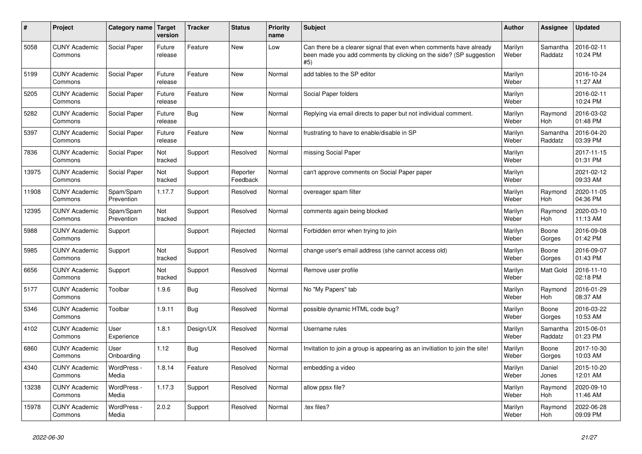| $\pmb{\#}$ | Project                         | Category name           | Target<br>version | <b>Tracker</b> | <b>Status</b>        | <b>Priority</b><br>name | <b>Subject</b>                                                                                                                                  | <b>Author</b>    | Assignee            | <b>Updated</b>         |
|------------|---------------------------------|-------------------------|-------------------|----------------|----------------------|-------------------------|-------------------------------------------------------------------------------------------------------------------------------------------------|------------------|---------------------|------------------------|
| 5058       | <b>CUNY Academic</b><br>Commons | Social Paper            | Future<br>release | Feature        | <b>New</b>           | Low                     | Can there be a clearer signal that even when comments have already<br>been made you add comments by clicking on the side? (SP suggestion<br>#5) | Marilyn<br>Weber | Samantha<br>Raddatz | 2016-02-11<br>10:24 PM |
| 5199       | <b>CUNY Academic</b><br>Commons | Social Paper            | Future<br>release | Feature        | <b>New</b>           | Normal                  | add tables to the SP editor                                                                                                                     | Marilyn<br>Weber |                     | 2016-10-24<br>11:27 AM |
| 5205       | <b>CUNY Academic</b><br>Commons | <b>Social Paper</b>     | Future<br>release | Feature        | <b>New</b>           | Normal                  | Social Paper folders                                                                                                                            | Marilyn<br>Weber |                     | 2016-02-11<br>10:24 PM |
| 5282       | <b>CUNY Academic</b><br>Commons | Social Paper            | Future<br>release | <b>Bug</b>     | New                  | Normal                  | Replying via email directs to paper but not individual comment.                                                                                 | Marilyn<br>Weber | Raymond<br>Hoh      | 2016-03-02<br>01:48 PM |
| 5397       | <b>CUNY Academic</b><br>Commons | Social Paper            | Future<br>release | Feature        | New                  | Normal                  | frustrating to have to enable/disable in SP                                                                                                     | Marilyn<br>Weber | Samantha<br>Raddatz | 2016-04-20<br>03:39 PM |
| 7836       | <b>CUNY Academic</b><br>Commons | Social Paper            | Not<br>tracked    | Support        | Resolved             | Normal                  | missing Social Paper                                                                                                                            | Marilyn<br>Weber |                     | 2017-11-15<br>01:31 PM |
| 13975      | <b>CUNY Academic</b><br>Commons | Social Paper            | Not<br>tracked    | Support        | Reporter<br>Feedback | Normal                  | can't approve comments on Social Paper paper                                                                                                    | Marilyn<br>Weber |                     | 2021-02-12<br>09:33 AM |
| 11908      | <b>CUNY Academic</b><br>Commons | Spam/Spam<br>Prevention | 1.17.7            | Support        | Resolved             | Normal                  | overeager spam filter                                                                                                                           | Marilyn<br>Weber | Raymond<br>Hoh      | 2020-11-05<br>04:36 PM |
| 12395      | <b>CUNY Academic</b><br>Commons | Spam/Spam<br>Prevention | Not<br>tracked    | Support        | Resolved             | Normal                  | comments again being blocked                                                                                                                    | Marilyn<br>Weber | Raymond<br>Hoh      | 2020-03-10<br>11:13 AM |
| 5988       | <b>CUNY Academic</b><br>Commons | Support                 |                   | Support        | Rejected             | Normal                  | Forbidden error when trying to join                                                                                                             | Marilyn<br>Weber | Boone<br>Gorges     | 2016-09-08<br>01:42 PM |
| 5985       | <b>CUNY Academic</b><br>Commons | Support                 | Not<br>tracked    | Support        | Resolved             | Normal                  | change user's email address (she cannot access old)                                                                                             | Marilyn<br>Weber | Boone<br>Gorges     | 2016-09-07<br>01:43 PM |
| 6656       | <b>CUNY Academic</b><br>Commons | Support                 | Not<br>tracked    | Support        | Resolved             | Normal                  | Remove user profile                                                                                                                             | Marilyn<br>Weber | Matt Gold           | 2016-11-10<br>02:18 PM |
| 5177       | <b>CUNY Academic</b><br>Commons | Toolbar                 | 1.9.6             | Bug            | Resolved             | Normal                  | No "My Papers" tab                                                                                                                              | Marilyn<br>Weber | Raymond<br>Hoh      | 2016-01-29<br>08:37 AM |
| 5346       | <b>CUNY Academic</b><br>Commons | Toolbar                 | 1.9.11            | <b>Bug</b>     | Resolved             | Normal                  | possible dynamic HTML code bug?                                                                                                                 | Marilyn<br>Weber | Boone<br>Gorges     | 2016-03-22<br>10:53 AM |
| 4102       | <b>CUNY Academic</b><br>Commons | User<br>Experience      | 1.8.1             | Design/UX      | Resolved             | Normal                  | Username rules                                                                                                                                  | Marilyn<br>Weber | Samantha<br>Raddatz | 2015-06-01<br>01:23 PM |
| 6860       | <b>CUNY Academic</b><br>Commons | User<br>Onboarding      | 1.12              | <b>Bug</b>     | Resolved             | Normal                  | Invitation to join a group is appearing as an invitiation to join the site!                                                                     | Marilyn<br>Weber | Boone<br>Gorges     | 2017-10-30<br>10:03 AM |
| 4340       | <b>CUNY Academic</b><br>Commons | WordPress -<br>Media    | 1.8.14            | Feature        | Resolved             | Normal                  | embedding a video                                                                                                                               | Marilyn<br>Weber | Daniel<br>Jones     | 2015-10-20<br>12:01 AM |
| 13238      | <b>CUNY Academic</b><br>Commons | WordPress -<br>Media    | 1.17.3            | Support        | Resolved             | Normal                  | allow ppsx file?                                                                                                                                | Marilyn<br>Weber | Raymond<br>Hoh      | 2020-09-10<br>11:46 AM |
| 15978      | <b>CUNY Academic</b><br>Commons | WordPress -<br>Media    | 2.0.2             | Support        | Resolved             | Normal                  | .tex files?                                                                                                                                     | Marilyn<br>Weber | Raymond<br>Hoh      | 2022-06-28<br>09:09 PM |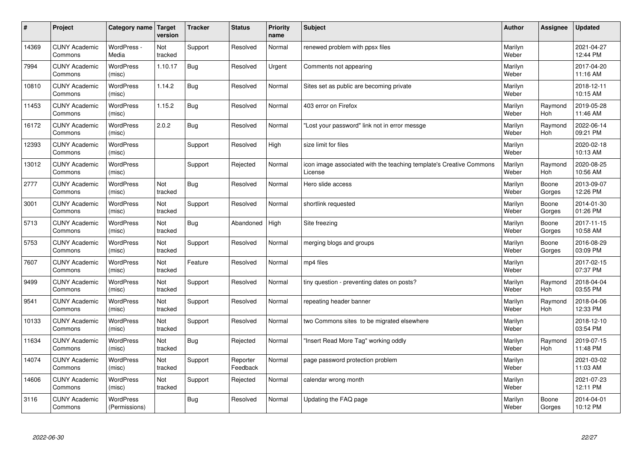| $\sharp$ | Project                         | Category name                     | Target<br>version | <b>Tracker</b> | <b>Status</b>        | <b>Priority</b><br>name | <b>Subject</b>                                                                 | <b>Author</b>    | Assignee              | <b>Updated</b>         |
|----------|---------------------------------|-----------------------------------|-------------------|----------------|----------------------|-------------------------|--------------------------------------------------------------------------------|------------------|-----------------------|------------------------|
| 14369    | <b>CUNY Academic</b><br>Commons | WordPress -<br>Media              | Not<br>tracked    | Support        | Resolved             | Normal                  | renewed problem with ppsx files                                                | Marilyn<br>Weber |                       | 2021-04-27<br>12:44 PM |
| 7994     | <b>CUNY Academic</b><br>Commons | <b>WordPress</b><br>(misc)        | 1.10.17           | Bug            | Resolved             | Urgent                  | Comments not appearing                                                         | Marilyn<br>Weber |                       | 2017-04-20<br>11:16 AM |
| 10810    | <b>CUNY Academic</b><br>Commons | <b>WordPress</b><br>(misc)        | 1.14.2            | Bug            | Resolved             | Normal                  | Sites set as public are becoming private                                       | Marilyn<br>Weber |                       | 2018-12-11<br>10:15 AM |
| 11453    | <b>CUNY Academic</b><br>Commons | <b>WordPress</b><br>(misc)        | 1.15.2            | Bug            | Resolved             | Normal                  | 403 error on Firefox                                                           | Marilyn<br>Weber | Raymond<br><b>Hoh</b> | 2019-05-28<br>11:46 AM |
| 16172    | <b>CUNY Academic</b><br>Commons | <b>WordPress</b><br>(misc)        | 2.0.2             | Bug            | Resolved             | Normal                  | "Lost your password" link not in error messge                                  | Marilyn<br>Weber | Raymond<br>Hoh        | 2022-06-14<br>09:21 PM |
| 12393    | <b>CUNY Academic</b><br>Commons | WordPress<br>(misc)               |                   | Support        | Resolved             | High                    | size limit for files                                                           | Marilyn<br>Weber |                       | 2020-02-18<br>10:13 AM |
| 13012    | <b>CUNY Academic</b><br>Commons | <b>WordPress</b><br>(misc)        |                   | Support        | Rejected             | Normal                  | icon image associated with the teaching template's Creative Commons<br>License | Marilyn<br>Weber | Raymond<br>Hoh        | 2020-08-25<br>10:56 AM |
| 2777     | <b>CUNY Academic</b><br>Commons | <b>WordPress</b><br>(misc)        | Not<br>tracked    | Bug            | Resolved             | Normal                  | Hero slide access                                                              | Marilyn<br>Weber | Boone<br>Gorges       | 2013-09-07<br>12:26 PM |
| 3001     | <b>CUNY Academic</b><br>Commons | <b>WordPress</b><br>(misc)        | Not<br>tracked    | Support        | Resolved             | Normal                  | shortlink requested                                                            | Marilyn<br>Weber | Boone<br>Gorges       | 2014-01-30<br>01:26 PM |
| 5713     | <b>CUNY Academic</b><br>Commons | WordPress<br>(misc)               | Not<br>tracked    | Bug            | Abandoned            | High                    | Site freezing                                                                  | Marilyn<br>Weber | Boone<br>Gorges       | 2017-11-15<br>10:58 AM |
| 5753     | <b>CUNY Academic</b><br>Commons | WordPress<br>(misc)               | Not<br>tracked    | Support        | Resolved             | Normal                  | merging blogs and groups                                                       | Marilyn<br>Weber | Boone<br>Gorges       | 2016-08-29<br>03:09 PM |
| 7607     | <b>CUNY Academic</b><br>Commons | <b>WordPress</b><br>(misc)        | Not<br>tracked    | Feature        | Resolved             | Normal                  | mp4 files                                                                      | Marilyn<br>Weber |                       | 2017-02-15<br>07:37 PM |
| 9499     | <b>CUNY Academic</b><br>Commons | WordPress<br>(misc)               | Not<br>tracked    | Support        | Resolved             | Normal                  | tiny question - preventing dates on posts?                                     | Marilyn<br>Weber | Raymond<br>Hoh        | 2018-04-04<br>03:55 PM |
| 9541     | <b>CUNY Academic</b><br>Commons | WordPress<br>(misc)               | Not<br>tracked    | Support        | Resolved             | Normal                  | repeating header banner                                                        | Marilyn<br>Weber | Raymond<br><b>Hoh</b> | 2018-04-06<br>12:33 PM |
| 10133    | <b>CUNY Academic</b><br>Commons | <b>WordPress</b><br>(misc)        | Not<br>tracked    | Support        | Resolved             | Normal                  | two Commons sites to be migrated elsewhere                                     | Marilyn<br>Weber |                       | 2018-12-10<br>03:54 PM |
| 11634    | <b>CUNY Academic</b><br>Commons | <b>WordPress</b><br>(misc)        | Not<br>tracked    | <b>Bug</b>     | Rejected             | Normal                  | "Insert Read More Tag" working oddly                                           | Marilyn<br>Weber | Raymond<br>Hoh        | 2019-07-15<br>11:48 PM |
| 14074    | <b>CUNY Academic</b><br>Commons | WordPress<br>(misc)               | Not<br>tracked    | Support        | Reporter<br>Feedback | Normal                  | page password protection problem                                               | Marilyn<br>Weber |                       | 2021-03-02<br>11:03 AM |
| 14606    | <b>CUNY Academic</b><br>Commons | WordPress<br>(misc)               | Not<br>tracked    | Support        | Rejected             | Normal                  | calendar wrong month                                                           | Marilyn<br>Weber |                       | 2021-07-23<br>12:11 PM |
| 3116     | <b>CUNY Academic</b><br>Commons | <b>WordPress</b><br>(Permissions) |                   | Bug            | Resolved             | Normal                  | Updating the FAQ page                                                          | Marilyn<br>Weber | Boone<br>Gorges       | 2014-04-01<br>10:12 PM |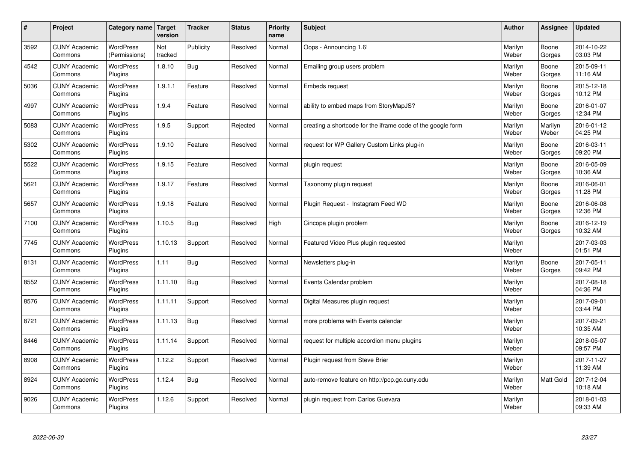| $\pmb{\#}$ | Project                         | Category name                     | Target<br>version | <b>Tracker</b> | <b>Status</b> | <b>Priority</b><br>name | <b>Subject</b>                                              | <b>Author</b>    | Assignee         | <b>Updated</b>         |
|------------|---------------------------------|-----------------------------------|-------------------|----------------|---------------|-------------------------|-------------------------------------------------------------|------------------|------------------|------------------------|
| 3592       | <b>CUNY Academic</b><br>Commons | <b>WordPress</b><br>(Permissions) | Not<br>tracked    | Publicity      | Resolved      | Normal                  | Oops - Announcing 1.6!                                      | Marilyn<br>Weber | Boone<br>Gorges  | 2014-10-22<br>03:03 PM |
| 4542       | <b>CUNY Academic</b><br>Commons | WordPress<br>Plugins              | 1.8.10            | <b>Bug</b>     | Resolved      | Normal                  | Emailing group users problem                                | Marilyn<br>Weber | Boone<br>Gorges  | 2015-09-11<br>11:16 AM |
| 5036       | <b>CUNY Academic</b><br>Commons | <b>WordPress</b><br>Plugins       | 1.9.1.1           | Feature        | Resolved      | Normal                  | Embeds request                                              | Marilyn<br>Weber | Boone<br>Gorges  | 2015-12-18<br>10:12 PM |
| 4997       | <b>CUNY Academic</b><br>Commons | <b>WordPress</b><br>Plugins       | 1.9.4             | Feature        | Resolved      | Normal                  | ability to embed maps from StoryMapJS?                      | Marilyn<br>Weber | Boone<br>Gorges  | 2016-01-07<br>12:34 PM |
| 5083       | <b>CUNY Academic</b><br>Commons | WordPress<br>Plugins              | 1.9.5             | Support        | Rejected      | Normal                  | creating a shortcode for the iframe code of the google form | Marilyn<br>Weber | Marilyn<br>Weber | 2016-01-12<br>04:25 PM |
| 5302       | <b>CUNY Academic</b><br>Commons | WordPress<br>Plugins              | 1.9.10            | Feature        | Resolved      | Normal                  | request for WP Gallery Custom Links plug-in                 | Marilyn<br>Weber | Boone<br>Gorges  | 2016-03-11<br>09:20 PM |
| 5522       | <b>CUNY Academic</b><br>Commons | <b>WordPress</b><br>Plugins       | 1.9.15            | Feature        | Resolved      | Normal                  | plugin request                                              | Marilyn<br>Weber | Boone<br>Gorges  | 2016-05-09<br>10:36 AM |
| 5621       | <b>CUNY Academic</b><br>Commons | <b>WordPress</b><br>Plugins       | 1.9.17            | Feature        | Resolved      | Normal                  | Taxonomy plugin request                                     | Marilyn<br>Weber | Boone<br>Gorges  | 2016-06-01<br>11:28 PM |
| 5657       | <b>CUNY Academic</b><br>Commons | WordPress<br>Plugins              | 1.9.18            | Feature        | Resolved      | Normal                  | Plugin Request - Instagram Feed WD                          | Marilyn<br>Weber | Boone<br>Gorges  | 2016-06-08<br>12:36 PM |
| 7100       | <b>CUNY Academic</b><br>Commons | <b>WordPress</b><br>Plugins       | 1.10.5            | Bug            | Resolved      | High                    | Cincopa plugin problem                                      | Marilyn<br>Weber | Boone<br>Gorges  | 2016-12-19<br>10:32 AM |
| 7745       | <b>CUNY Academic</b><br>Commons | <b>WordPress</b><br>Plugins       | 1.10.13           | Support        | Resolved      | Normal                  | Featured Video Plus plugin requested                        | Marilyn<br>Weber |                  | 2017-03-03<br>01:51 PM |
| 8131       | <b>CUNY Academic</b><br>Commons | <b>WordPress</b><br>Plugins       | 1.11              | <b>Bug</b>     | Resolved      | Normal                  | Newsletters plug-in                                         | Marilyn<br>Weber | Boone<br>Gorges  | 2017-05-11<br>09:42 PM |
| 8552       | <b>CUNY Academic</b><br>Commons | <b>WordPress</b><br>Plugins       | 1.11.10           | <b>Bug</b>     | Resolved      | Normal                  | Events Calendar problem                                     | Marilyn<br>Weber |                  | 2017-08-18<br>04:36 PM |
| 8576       | <b>CUNY Academic</b><br>Commons | <b>WordPress</b><br>Plugins       | 1.11.11           | Support        | Resolved      | Normal                  | Digital Measures plugin request                             | Marilyn<br>Weber |                  | 2017-09-01<br>03:44 PM |
| 8721       | <b>CUNY Academic</b><br>Commons | WordPress<br>Plugins              | 1.11.13           | <b>Bug</b>     | Resolved      | Normal                  | more problems with Events calendar                          | Marilyn<br>Weber |                  | 2017-09-21<br>10:35 AM |
| 8446       | <b>CUNY Academic</b><br>Commons | <b>WordPress</b><br>Plugins       | 1.11.14           | Support        | Resolved      | Normal                  | request for multiple accordion menu plugins                 | Marilyn<br>Weber |                  | 2018-05-07<br>09:57 PM |
| 8908       | <b>CUNY Academic</b><br>Commons | WordPress<br>Plugins              | 1.12.2            | Support        | Resolved      | Normal                  | Plugin request from Steve Brier                             | Marilyn<br>Weber |                  | 2017-11-27<br>11:39 AM |
| 8924       | <b>CUNY Academic</b><br>Commons | WordPress<br>Plugins              | 1.12.4            | <b>Bug</b>     | Resolved      | Normal                  | auto-remove feature on http://pcp.gc.cuny.edu               | Marilyn<br>Weber | Matt Gold        | 2017-12-04<br>10:18 AM |
| 9026       | <b>CUNY Academic</b><br>Commons | <b>WordPress</b><br>Plugins       | 1.12.6            | Support        | Resolved      | Normal                  | plugin request from Carlos Guevara                          | Marilyn<br>Weber |                  | 2018-01-03<br>09:33 AM |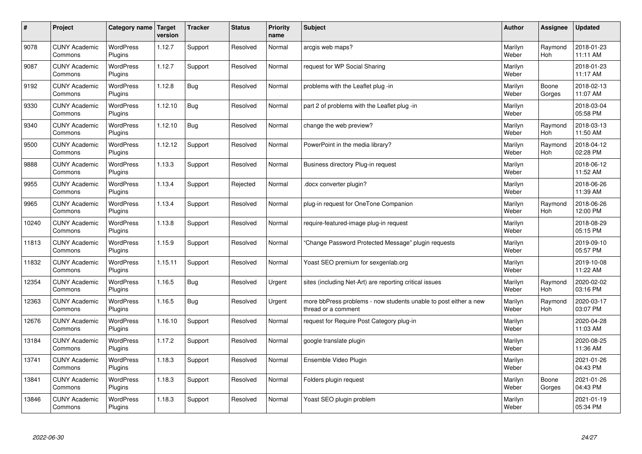| $\sharp$ | Project                         | Category name Target        | version | <b>Tracker</b> | <b>Status</b> | <b>Priority</b><br>name | <b>Subject</b>                                                                          | <b>Author</b>    | Assignee              | <b>Updated</b>         |
|----------|---------------------------------|-----------------------------|---------|----------------|---------------|-------------------------|-----------------------------------------------------------------------------------------|------------------|-----------------------|------------------------|
| 9078     | <b>CUNY Academic</b><br>Commons | <b>WordPress</b><br>Plugins | 1.12.7  | Support        | Resolved      | Normal                  | arcgis web maps?                                                                        | Marilyn<br>Weber | Raymond<br><b>Hoh</b> | 2018-01-23<br>11:11 AM |
| 9087     | <b>CUNY Academic</b><br>Commons | <b>WordPress</b><br>Plugins | 1.12.7  | Support        | Resolved      | Normal                  | request for WP Social Sharing                                                           | Marilyn<br>Weber |                       | 2018-01-23<br>11:17 AM |
| 9192     | <b>CUNY Academic</b><br>Commons | <b>WordPress</b><br>Plugins | 1.12.8  | <b>Bug</b>     | Resolved      | Normal                  | problems with the Leaflet plug -in                                                      | Marilyn<br>Weber | Boone<br>Gorges       | 2018-02-13<br>11:07 AM |
| 9330     | <b>CUNY Academic</b><br>Commons | <b>WordPress</b><br>Plugins | 1.12.10 | <b>Bug</b>     | Resolved      | Normal                  | part 2 of problems with the Leaflet plug -in                                            | Marilyn<br>Weber |                       | 2018-03-04<br>05:58 PM |
| 9340     | <b>CUNY Academic</b><br>Commons | <b>WordPress</b><br>Plugins | 1.12.10 | Bug            | Resolved      | Normal                  | change the web preview?                                                                 | Marilyn<br>Weber | Raymond<br>Hoh        | 2018-03-13<br>11:50 AM |
| 9500     | <b>CUNY Academic</b><br>Commons | WordPress<br>Plugins        | 1.12.12 | Support        | Resolved      | Normal                  | PowerPoint in the media library?                                                        | Marilyn<br>Weber | Raymond<br><b>Hoh</b> | 2018-04-12<br>02:28 PM |
| 9888     | <b>CUNY Academic</b><br>Commons | <b>WordPress</b><br>Plugins | 1.13.3  | Support        | Resolved      | Normal                  | Business directory Plug-in request                                                      | Marilyn<br>Weber |                       | 2018-06-12<br>11:52 AM |
| 9955     | <b>CUNY Academic</b><br>Commons | WordPress<br>Plugins        | 1.13.4  | Support        | Rejected      | Normal                  | docx converter plugin?                                                                  | Marilyn<br>Weber |                       | 2018-06-26<br>11:39 AM |
| 9965     | <b>CUNY Academic</b><br>Commons | <b>WordPress</b><br>Plugins | 1.13.4  | Support        | Resolved      | Normal                  | plug-in request for OneTone Companion                                                   | Marilyn<br>Weber | Raymond<br><b>Hoh</b> | 2018-06-26<br>12:00 PM |
| 10240    | <b>CUNY Academic</b><br>Commons | WordPress<br>Plugins        | 1.13.8  | Support        | Resolved      | Normal                  | require-featured-image plug-in request                                                  | Marilyn<br>Weber |                       | 2018-08-29<br>05:15 PM |
| 11813    | <b>CUNY Academic</b><br>Commons | WordPress<br>Plugins        | 1.15.9  | Support        | Resolved      | Normal                  | Change Password Protected Message" plugin requests                                      | Marilyn<br>Weber |                       | 2019-09-10<br>05:57 PM |
| 11832    | <b>CUNY Academic</b><br>Commons | <b>WordPress</b><br>Plugins | 1.15.11 | Support        | Resolved      | Normal                  | Yoast SEO premium for sexgenlab.org                                                     | Marilyn<br>Weber |                       | 2019-10-08<br>11:22 AM |
| 12354    | <b>CUNY Academic</b><br>Commons | <b>WordPress</b><br>Plugins | 1.16.5  | <b>Bug</b>     | Resolved      | Urgent                  | sites (including Net-Art) are reporting critical issues                                 | Marilyn<br>Weber | Raymond<br>Hoh        | 2020-02-02<br>03:16 PM |
| 12363    | <b>CUNY Academic</b><br>Commons | <b>WordPress</b><br>Plugins | 1.16.5  | <b>Bug</b>     | Resolved      | Urgent                  | more bbPress problems - now students unable to post either a new<br>thread or a comment | Marilyn<br>Weber | Raymond<br><b>Hoh</b> | 2020-03-17<br>03:07 PM |
| 12676    | <b>CUNY Academic</b><br>Commons | <b>WordPress</b><br>Plugins | 1.16.10 | Support        | Resolved      | Normal                  | request for Require Post Category plug-in                                               | Marilyn<br>Weber |                       | 2020-04-28<br>11:03 AM |
| 13184    | <b>CUNY Academic</b><br>Commons | <b>WordPress</b><br>Plugins | 1.17.2  | Support        | Resolved      | Normal                  | google translate plugin                                                                 | Marilyn<br>Weber |                       | 2020-08-25<br>11:36 AM |
| 13741    | <b>CUNY Academic</b><br>Commons | WordPress<br>Plugins        | 1.18.3  | Support        | Resolved      | Normal                  | Ensemble Video Plugin                                                                   | Marilyn<br>Weber |                       | 2021-01-26<br>04:43 PM |
| 13841    | <b>CUNY Academic</b><br>Commons | WordPress<br>Plugins        | 1.18.3  | Support        | Resolved      | Normal                  | Folders plugin request                                                                  | Marilyn<br>Weber | Boone<br>Gorges       | 2021-01-26<br>04:43 PM |
| 13846    | <b>CUNY Academic</b><br>Commons | WordPress<br>Plugins        | 1.18.3  | Support        | Resolved      | Normal                  | Yoast SEO plugin problem                                                                | Marilyn<br>Weber |                       | 2021-01-19<br>05:34 PM |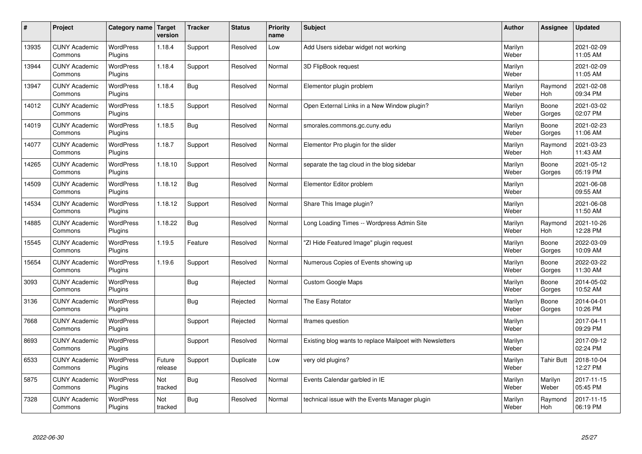| #     | Project                         | Category name               | Target<br>version | <b>Tracker</b> | <b>Status</b> | <b>Priority</b><br>name | <b>Subject</b>                                           | <b>Author</b>    | Assignee              | <b>Updated</b>         |
|-------|---------------------------------|-----------------------------|-------------------|----------------|---------------|-------------------------|----------------------------------------------------------|------------------|-----------------------|------------------------|
| 13935 | <b>CUNY Academic</b><br>Commons | <b>WordPress</b><br>Plugins | 1.18.4            | Support        | Resolved      | Low                     | Add Users sidebar widget not working                     | Marilyn<br>Weber |                       | 2021-02-09<br>11:05 AM |
| 13944 | <b>CUNY Academic</b><br>Commons | <b>WordPress</b><br>Plugins | 1.18.4            | Support        | Resolved      | Normal                  | 3D FlipBook request                                      | Marilyn<br>Weber |                       | 2021-02-09<br>11:05 AM |
| 13947 | <b>CUNY Academic</b><br>Commons | <b>WordPress</b><br>Plugins | 1.18.4            | Bug            | Resolved      | Normal                  | Elementor plugin problem                                 | Marilyn<br>Weber | Raymond<br><b>Hoh</b> | 2021-02-08<br>09:34 PM |
| 14012 | <b>CUNY Academic</b><br>Commons | <b>WordPress</b><br>Plugins | 1.18.5            | Support        | Resolved      | Normal                  | Open External Links in a New Window plugin?              | Marilyn<br>Weber | Boone<br>Gorges       | 2021-03-02<br>02:07 PM |
| 14019 | <b>CUNY Academic</b><br>Commons | <b>WordPress</b><br>Plugins | 1.18.5            | Bug            | Resolved      | Normal                  | smorales.commons.gc.cuny.edu                             | Marilyn<br>Weber | Boone<br>Gorges       | 2021-02-23<br>11:06 AM |
| 14077 | <b>CUNY Academic</b><br>Commons | WordPress<br>Plugins        | 1.18.7            | Support        | Resolved      | Normal                  | Elementor Pro plugin for the slider                      | Marilyn<br>Weber | Raymond<br><b>Hoh</b> | 2021-03-23<br>11:43 AM |
| 14265 | <b>CUNY Academic</b><br>Commons | WordPress<br>Plugins        | 1.18.10           | Support        | Resolved      | Normal                  | separate the tag cloud in the blog sidebar               | Marilyn<br>Weber | Boone<br>Gorges       | 2021-05-12<br>05:19 PM |
| 14509 | <b>CUNY Academic</b><br>Commons | <b>WordPress</b><br>Plugins | 1.18.12           | Bug            | Resolved      | Normal                  | Elementor Editor problem                                 | Marilyn<br>Weber |                       | 2021-06-08<br>09:55 AM |
| 14534 | <b>CUNY Academic</b><br>Commons | <b>WordPress</b><br>Plugins | 1.18.12           | Support        | Resolved      | Normal                  | Share This Image plugin?                                 | Marilyn<br>Weber |                       | 2021-06-08<br>11:50 AM |
| 14885 | <b>CUNY Academic</b><br>Commons | WordPress<br>Plugins        | 1.18.22           | Bug            | Resolved      | Normal                  | Long Loading Times -- Wordpress Admin Site               | Marilyn<br>Weber | Raymond<br>Hoh        | 2021-10-26<br>12:28 PM |
| 15545 | <b>CUNY Academic</b><br>Commons | WordPress<br>Plugins        | 1.19.5            | Feature        | Resolved      | Normal                  | 'ZI Hide Featured Image" plugin request                  | Marilyn<br>Weber | Boone<br>Gorges       | 2022-03-09<br>10:09 AM |
| 15654 | <b>CUNY Academic</b><br>Commons | <b>WordPress</b><br>Plugins | 1.19.6            | Support        | Resolved      | Normal                  | Numerous Copies of Events showing up                     | Marilyn<br>Weber | Boone<br>Gorges       | 2022-03-22<br>11:30 AM |
| 3093  | <b>CUNY Academic</b><br>Commons | <b>WordPress</b><br>Plugins |                   | Bug            | Rejected      | Normal                  | <b>Custom Google Maps</b>                                | Marilyn<br>Weber | Boone<br>Gorges       | 2014-05-02<br>10:52 AM |
| 3136  | <b>CUNY Academic</b><br>Commons | <b>WordPress</b><br>Plugins |                   | Bug            | Rejected      | Normal                  | The Easy Rotator                                         | Marilyn<br>Weber | Boone<br>Gorges       | 2014-04-01<br>10:26 PM |
| 7668  | <b>CUNY Academic</b><br>Commons | <b>WordPress</b><br>Plugins |                   | Support        | Rejected      | Normal                  | Iframes question                                         | Marilyn<br>Weber |                       | 2017-04-11<br>09:29 PM |
| 8693  | <b>CUNY Academic</b><br>Commons | <b>WordPress</b><br>Plugins |                   | Support        | Resolved      | Normal                  | Existing blog wants to replace Mailpoet with Newsletters | Marilyn<br>Weber |                       | 2017-09-12<br>02:24 PM |
| 6533  | <b>CUNY Academic</b><br>Commons | WordPress<br>Plugins        | Future<br>release | Support        | Duplicate     | Low                     | very old plugins?                                        | Marilyn<br>Weber | <b>Tahir Butt</b>     | 2018-10-04<br>12:27 PM |
| 5875  | <b>CUNY Academic</b><br>Commons | WordPress<br>Plugins        | Not<br>tracked    | Bug            | Resolved      | Normal                  | Events Calendar garbled in IE                            | Marilyn<br>Weber | Marilyn<br>Weber      | 2017-11-15<br>05:45 PM |
| 7328  | <b>CUNY Academic</b><br>Commons | <b>WordPress</b><br>Plugins | Not<br>tracked    | Bug            | Resolved      | Normal                  | technical issue with the Events Manager plugin           | Marilyn<br>Weber | Raymond<br>Hoh        | 2017-11-15<br>06:19 PM |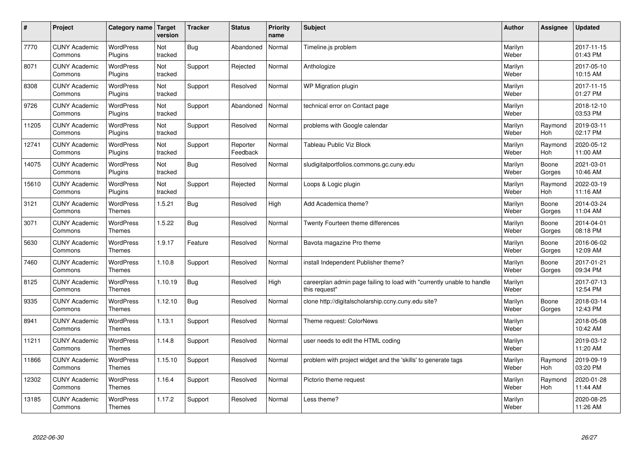| $\sharp$ | Project                         | Category name                     | Target<br>version | <b>Tracker</b> | <b>Status</b>        | <b>Priority</b><br>name | <b>Subject</b>                                                                          | <b>Author</b>    | Assignee              | <b>Updated</b>         |
|----------|---------------------------------|-----------------------------------|-------------------|----------------|----------------------|-------------------------|-----------------------------------------------------------------------------------------|------------------|-----------------------|------------------------|
| 7770     | <b>CUNY Academic</b><br>Commons | <b>WordPress</b><br>Plugins       | Not<br>tracked    | Bug            | Abandoned            | Normal                  | Timeline.js problem                                                                     | Marilyn<br>Weber |                       | 2017-11-15<br>01:43 PM |
| 8071     | <b>CUNY Academic</b><br>Commons | <b>WordPress</b><br>Plugins       | Not<br>tracked    | Support        | Rejected             | Normal                  | Anthologize                                                                             | Marilyn<br>Weber |                       | 2017-05-10<br>10:15 AM |
| 8308     | <b>CUNY Academic</b><br>Commons | <b>WordPress</b><br>Plugins       | Not<br>tracked    | Support        | Resolved             | Normal                  | WP Migration plugin                                                                     | Marilyn<br>Weber |                       | 2017-11-15<br>01:27 PM |
| 9726     | <b>CUNY Academic</b><br>Commons | <b>WordPress</b><br>Plugins       | Not<br>tracked    | Support        | Abandoned            | Normal                  | technical error on Contact page                                                         | Marilyn<br>Weber |                       | 2018-12-10<br>03:53 PM |
| 11205    | <b>CUNY Academic</b><br>Commons | <b>WordPress</b><br>Plugins       | Not<br>tracked    | Support        | Resolved             | Normal                  | problems with Google calendar                                                           | Marilyn<br>Weber | Raymond<br>Hoh        | 2019-03-11<br>02:17 PM |
| 12741    | <b>CUNY Academic</b><br>Commons | WordPress<br>Plugins              | Not<br>tracked    | Support        | Reporter<br>Feedback | Normal                  | Tableau Public Viz Block                                                                | Marilyn<br>Weber | Raymond<br>Hoh        | 2020-05-12<br>11:00 AM |
| 14075    | <b>CUNY Academic</b><br>Commons | <b>WordPress</b><br>Plugins       | Not<br>tracked    | Bug            | Resolved             | Normal                  | sludigitalportfolios.commons.gc.cuny.edu                                                | Marilyn<br>Weber | Boone<br>Gorges       | 2021-03-01<br>10:46 AM |
| 15610    | <b>CUNY Academic</b><br>Commons | <b>WordPress</b><br>Plugins       | Not<br>tracked    | Support        | Rejected             | Normal                  | Loops & Logic plugin                                                                    | Marilyn<br>Weber | Raymond<br>Hoh        | 2022-03-19<br>11:16 AM |
| 3121     | <b>CUNY Academic</b><br>Commons | <b>WordPress</b><br><b>Themes</b> | 1.5.21            | Bug            | Resolved             | High                    | Add Academica theme?                                                                    | Marilyn<br>Weber | Boone<br>Gorges       | 2014-03-24<br>11:04 AM |
| 3071     | <b>CUNY Academic</b><br>Commons | WordPress<br><b>Themes</b>        | 1.5.22            | Bug            | Resolved             | Normal                  | Twenty Fourteen theme differences                                                       | Marilyn<br>Weber | Boone<br>Gorges       | 2014-04-01<br>08:18 PM |
| 5630     | <b>CUNY Academic</b><br>Commons | WordPress<br><b>Themes</b>        | 1.9.17            | Feature        | Resolved             | Normal                  | Bavota magazine Pro theme                                                               | Marilyn<br>Weber | Boone<br>Gorges       | 2016-06-02<br>12:09 AM |
| 7460     | <b>CUNY Academic</b><br>Commons | <b>WordPress</b><br><b>Themes</b> | 1.10.8            | Support        | Resolved             | Normal                  | install Independent Publisher theme?                                                    | Marilyn<br>Weber | Boone<br>Gorges       | 2017-01-21<br>09:34 PM |
| 8125     | <b>CUNY Academic</b><br>Commons | <b>WordPress</b><br><b>Themes</b> | 1.10.19           | Bug            | Resolved             | High                    | careerplan admin page failing to load with "currently unable to handle<br>this request" | Marilyn<br>Weber |                       | 2017-07-13<br>12:54 PM |
| 9335     | <b>CUNY Academic</b><br>Commons | <b>WordPress</b><br><b>Themes</b> | 1.12.10           | Bug            | Resolved             | Normal                  | clone http://digitalscholarship.ccny.cuny.edu site?                                     | Marilyn<br>Weber | Boone<br>Gorges       | 2018-03-14<br>12:43 PM |
| 8941     | <b>CUNY Academic</b><br>Commons | <b>WordPress</b><br><b>Themes</b> | 1.13.1            | Support        | Resolved             | Normal                  | Theme request: ColorNews                                                                | Marilyn<br>Weber |                       | 2018-05-08<br>10:42 AM |
| 11211    | <b>CUNY Academic</b><br>Commons | <b>WordPress</b><br><b>Themes</b> | 1.14.8            | Support        | Resolved             | Normal                  | user needs to edit the HTML coding                                                      | Marilyn<br>Weber |                       | 2019-03-12<br>11:20 AM |
| 11866    | <b>CUNY Academic</b><br>Commons | WordPress<br><b>Themes</b>        | 1.15.10           | Support        | Resolved             | Normal                  | problem with project widget and the 'skills' to generate tags                           | Marilyn<br>Weber | Raymond<br>Hoh        | 2019-09-19<br>03:20 PM |
| 12302    | <b>CUNY Academic</b><br>Commons | WordPress<br><b>Themes</b>        | 1.16.4            | Support        | Resolved             | Normal                  | Pictorio theme request                                                                  | Marilyn<br>Weber | Raymond<br><b>Hoh</b> | 2020-01-28<br>11:44 AM |
| 13185    | <b>CUNY Academic</b><br>Commons | <b>WordPress</b><br><b>Themes</b> | 1.17.2            | Support        | Resolved             | Normal                  | Less theme?                                                                             | Marilyn<br>Weber |                       | 2020-08-25<br>11:26 AM |